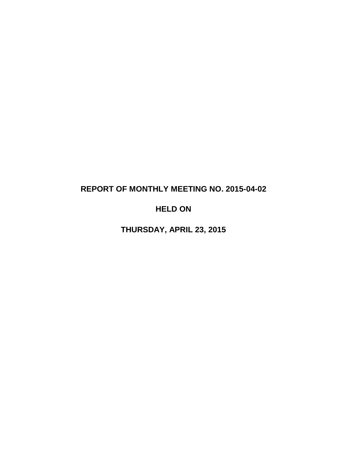# **REPORT OF MONTHLY MEETING NO. 2015-04-02**

# **HELD ON**

**THURSDAY, APRIL 23, 2015**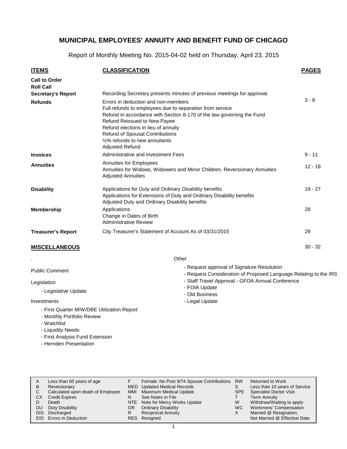Report of Monthly Meeting No. 2015-04-02 held on Thursday, April 23, 2015

| <u>ITEMS</u>                             | <b>CLASSIFICATION</b>                                                                                                                                                                                                                                                                                                                                              | <b>PAGES</b> |
|------------------------------------------|--------------------------------------------------------------------------------------------------------------------------------------------------------------------------------------------------------------------------------------------------------------------------------------------------------------------------------------------------------------------|--------------|
| <b>Call to Order</b><br><b>Roll Call</b> |                                                                                                                                                                                                                                                                                                                                                                    |              |
| <b>Secretary's Report</b>                | Recording Secretary presents minutes of previous meetings for approval.                                                                                                                                                                                                                                                                                            |              |
| <b>Refunds</b>                           | Errors in deduction and non-members<br>Full refunds to employees due to separation from service<br>Refund in accordance with Section 8-170 of the law governing the Fund<br>Refund Reissued to New Payee<br>Refund elections in lieu of annuity<br><b>Refund of Spousal Contributions</b><br>1/ <sub>2</sub> % refunds to new annuitants<br><b>Adjusted Refund</b> | $3 - 8$      |
| <b>Invoices</b>                          | Administrative and Investment Fees                                                                                                                                                                                                                                                                                                                                 | $9 - 11$     |
| <b>Annuities</b>                         | Annuities for Employees<br>Annuities for Widows, Widowers and Minor Children, Reversionary Annuities<br><b>Adjusted Annuities</b>                                                                                                                                                                                                                                  | $12 - 18$    |
| <b>Disability</b>                        | Applications for Duty and Ordinary Disability benefits<br>Applications for Extensions of Duty and Ordinary Disability benefits<br>Adjusted Duty and Ordinary Disability benefits                                                                                                                                                                                   | $19 - 27$    |
| <b>Membership</b>                        | Applications<br>Change in Dates of Birth<br><b>Administrative Review</b>                                                                                                                                                                                                                                                                                           | 28           |
| <b>Treasurer's Report</b>                | City Treasurer's Statement of Account As of 03/31/2015                                                                                                                                                                                                                                                                                                             | 29           |
| <b>MISCELLANEOUS</b>                     |                                                                                                                                                                                                                                                                                                                                                                    | $30 - 32$    |

**Other** 

| <b>Public Comment</b>                                        | - Request approval of Signature Resolution<br>- Request Consideration of Proposed Language Relating to the IRS |
|--------------------------------------------------------------|----------------------------------------------------------------------------------------------------------------|
| Legislation<br>- Legislative Update                          | - Staff Travel Approval - GFOA Annual Conference<br>- FOIA Update<br>- Old Business                            |
| Investments                                                  | - Legal Update                                                                                                 |
| - First Quarter M/W/DBE Utilization Report<br>$\blacksquare$ |                                                                                                                |

- Monthly Portfolio Review
- Watchlist

.

- Liquidity Needs
- First Analysis Fund Extension
- Hernden Presentation

| A  | Less than 60 years of age         |     | Female: No Post 9/74 Spouse Contributions | <b>RW</b> | <b>Returned to Work</b>        |
|----|-----------------------------------|-----|-------------------------------------------|-----------|--------------------------------|
| B  | Reversionary                      |     | <b>MED</b> Updated Medical Records        |           | Less than 10 years of Service  |
|    | Calculated upon death of Employee | MMI | Maximum Medical Update                    | SPE.      | <b>Specialist Doctor Visit</b> |
| СX | <b>Credit Expires</b>             | N   | See Notes in File                         |           | <b>Term Annuity</b>            |
|    | Death                             |     | NTE Note for Mercy Works Update           | W         | Withdraw/Waiting to apply      |
| DU | Duty Disability                   | OR. | <b>Ordinary Disability</b>                | WC.       | Workmens' Compensation         |
|    | DIS Discharged                    | R   | <b>Reciprocal Annuity</b>                 | х         | Married @ Resignation,         |
|    | EID Errors in Deduction           |     | RES Resigned                              |           | Not Married @ Effective Date   |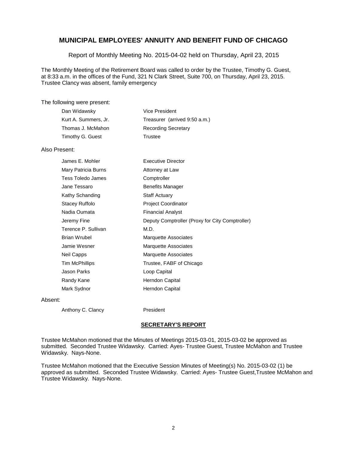Report of Monthly Meeting No. 2015-04-02 held on Thursday, April 23, 2015

The Monthly Meeting of the Retirement Board was called to order by the Trustee, Timothy G. Guest, at 8:33 a.m. in the offices of the Fund, 321 N Clark Street, Suite 700, on Thursday, April 23, 2015. Trustee Clancy was absent, family emergency

The following were present:

| Dan Widawsky         | Vice President                |
|----------------------|-------------------------------|
| Kurt A. Summers, Jr. | Treasurer (arrived 9:50 a.m.) |
| Thomas J. McMahon    | <b>Recording Secretary</b>    |
| Timothy G. Guest     | Trustee                       |

Also Present:

| James E. Mohler     | <b>Executive Director</b>                       |
|---------------------|-------------------------------------------------|
| Mary Patricia Burns | Attorney at Law                                 |
| Tess Toledo James   | Comptroller                                     |
| Jane Tessaro        | <b>Benefits Manager</b>                         |
| Kathy Schanding     | <b>Staff Actuary</b>                            |
| Stacey Ruffolo      | <b>Project Coordinator</b>                      |
| Nadia Oumata        | <b>Financial Analyst</b>                        |
| Jeremy Fine         | Deputy Comptroller (Proxy for City Comptroller) |
| Terence P. Sullivan | M.D.                                            |
| Brian Wrubel        | Marquette Associates                            |
| Jamie Wesner        | Marquette Associates                            |
| Neil Capps          | Marquette Associates                            |
| Tim McPhillips      | Trustee, FABF of Chicago                        |
| Jason Parks         | Loop Capital                                    |
| Randy Kane          | Herndon Capital                                 |
| Mark Sydnor         | Herndon Capital                                 |
|                     |                                                 |

Absent:

Anthony C. Clancy **President** 

#### **SECRETARY'S REPORT**

Trustee McMahon motioned that the Minutes of Meetings 2015-03-01, 2015-03-02 be approved as submitted. Seconded Trustee Widawsky. Carried: Ayes- Trustee Guest, Trustee McMahon and Trustee Widawsky. Nays-None.

Trustee McMahon motioned that the Executive Session Minutes of Meeting(s) No. 2015-03-02 (1) be approved as submitted. Seconded Trustee Widawsky. Carried: Ayes- Trustee Guest,Trustee McMahon and Trustee Widawsky. Nays-None.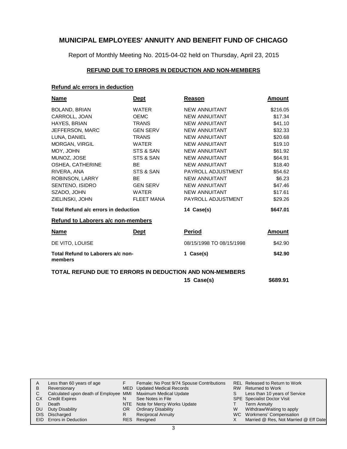Report of Monthly Meeting No. 2015-04-02 held on Thursday, April 23, 2015

### **REFUND DUE TO ERRORS IN DEDUCTION AND NON-MEMBERS**

#### **Refund a/c errors in deduction**

| <b>Name</b>                                  | <u>Dept</u>       | Reason                   | Amount        |
|----------------------------------------------|-------------------|--------------------------|---------------|
| BOLAND, BRIAN                                | <b>WATER</b>      | <b>NEW ANNUITANT</b>     | \$216.05      |
| CARROLL, JOAN                                | <b>OEMC</b>       | <b>NEW ANNUITANT</b>     | \$17.34       |
| HAYES, BRIAN                                 | <b>TRANS</b>      | <b>NEW ANNUITANT</b>     | \$41.10       |
| JEFFERSON, MARC                              | <b>GEN SERV</b>   | <b>NEW ANNUITANT</b>     | \$32.33       |
| LUNA, DANIEL                                 | <b>TRANS</b>      | <b>NEW ANNUITANT</b>     | \$20.68       |
| MORGAN, VIRGIL                               | <b>WATER</b>      | <b>NEW ANNUITANT</b>     | \$19.10       |
| MOY, JOHN                                    | STS & SAN         | <b>NEW ANNUITANT</b>     | \$61.92       |
| MUNOZ, JOSE                                  | STS & SAN         | <b>NEW ANNUITANT</b>     | \$64.91       |
| OSHEA, CATHERINE                             | BE                | <b>NEW ANNUITANT</b>     | \$18.40       |
| RIVERA, ANA                                  | STS & SAN         | PAYROLL ADJUSTMENT       | \$54.62       |
| ROBINSON, LARRY                              | BE                | <b>NEW ANNUITANT</b>     | \$6.23        |
| SENTENO, ISIDRO                              | <b>GEN SERV</b>   | <b>NEW ANNUITANT</b>     | \$47.46       |
| SZADO, JOHN                                  | <b>WATER</b>      | <b>NEW ANNUITANT</b>     | \$17.61       |
| ZIELINSKI, JOHN                              | <b>FLEET MANA</b> | PAYROLL ADJUSTMENT       | \$29.26       |
| Total Refund a/c errors in deduction         |                   | 14 Case(s)               | \$647.01      |
| <b>Refund to Laborers a/c non-members</b>    |                   |                          |               |
| <u>Name</u>                                  | <u>Dept</u>       | <u>Period</u>            | <u>Amount</u> |
| DE VITO, LOUISE                              |                   | 08/15/1998 TO 08/15/1998 | \$42.90       |
| Total Refund to Laborers a/c non-<br>members |                   | Case(s)<br>1             | \$42.90       |

#### **TOTAL REFUND DUE TO ERRORS IN DEDUCTION AND NON-MEMBERS**

**15 Case(s) \$689.91**

| A         | Less than 60 years of age                                    |     | Female: No Post 9/74 Spouse Contributions |    | REL Released to Return to Work        |
|-----------|--------------------------------------------------------------|-----|-------------------------------------------|----|---------------------------------------|
| B.        | Reversionary                                                 |     | MED Updated Medical Records               |    | RW Returned to Work                   |
|           | Calculated upon death of Employee MMI Maximum Medical Update |     |                                           | S. | Less than 10 years of Service         |
| CX.       | <b>Credit Expires</b>                                        |     | See Notes in File                         |    | <b>SPE</b> Specialist Doctor Visit    |
|           | Death                                                        |     | NTE Note for Mercy Works Update           |    | <b>Term Annuity</b>                   |
| <b>DU</b> | Duty Disability                                              | OR. | <b>Ordinary Disability</b>                | W  | Withdraw/Waiting to apply             |
|           | DIS Discharged                                               |     | <b>Reciprocal Annuity</b>                 |    | WC Workmens' Compensation             |
|           | EID Errors in Deduction                                      |     | RES Resigned                              |    | Married @ Res, Not Married @ Eff Date |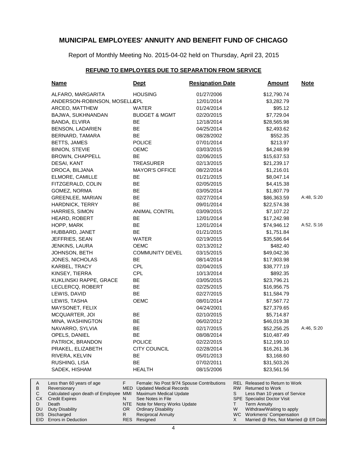Report of Monthly Meeting No. 2015-04-02 held on Thursday, April 23, 2015

### **REFUND TO EMPLOYEES DUE TO SEPARATION FROM SERVICE**

| <b>Name</b>                                                                                                                                    | <u>Dept</u>                                                                                                                                                                                                                    | <b>Resignation Date</b> | <u>Amount</u>                                                                                                                                                                                                     | <b>Note</b> |
|------------------------------------------------------------------------------------------------------------------------------------------------|--------------------------------------------------------------------------------------------------------------------------------------------------------------------------------------------------------------------------------|-------------------------|-------------------------------------------------------------------------------------------------------------------------------------------------------------------------------------------------------------------|-------------|
| ALFARO, MARGARITA                                                                                                                              | <b>HOUSING</b>                                                                                                                                                                                                                 | 01/27/2006              | \$12,790.74                                                                                                                                                                                                       |             |
| ANDERSON-ROBINSON, MOSELL&PL                                                                                                                   |                                                                                                                                                                                                                                | 12/01/2014              | \$3,282.79                                                                                                                                                                                                        |             |
| ARCEO, MATTHEW                                                                                                                                 | <b>WATER</b>                                                                                                                                                                                                                   | 01/24/2014              | \$95.12                                                                                                                                                                                                           |             |
| BAJWA, SUKHNANDAN                                                                                                                              | <b>BUDGET &amp; MGMT</b>                                                                                                                                                                                                       | 02/20/2015              | \$7,729.04                                                                                                                                                                                                        |             |
| BANDA, ELVIRA                                                                                                                                  | BE                                                                                                                                                                                                                             | 12/18/2014              | \$28,565.98                                                                                                                                                                                                       |             |
| <b>BENSON, LADARIEN</b>                                                                                                                        | BE                                                                                                                                                                                                                             | 04/25/2014              | \$2,493.62                                                                                                                                                                                                        |             |
| BERNARD, TAMARA                                                                                                                                | BE                                                                                                                                                                                                                             | 08/28/2002              | \$552.35                                                                                                                                                                                                          |             |
| BETTS, JAMES                                                                                                                                   | <b>POLICE</b>                                                                                                                                                                                                                  | 07/01/2014              | \$213.97                                                                                                                                                                                                          |             |
| <b>BINION, STEVIE</b>                                                                                                                          | OEMC                                                                                                                                                                                                                           | 03/03/2015              | \$4,248.99                                                                                                                                                                                                        |             |
| <b>BROWN, CHAPPELL</b>                                                                                                                         | BE                                                                                                                                                                                                                             | 02/06/2015              | \$15,637.53                                                                                                                                                                                                       |             |
| DESAI, KANT                                                                                                                                    | <b>TREASURER</b>                                                                                                                                                                                                               | 02/13/2015              | \$21,239.17                                                                                                                                                                                                       |             |
| DROCA, BILJANA                                                                                                                                 | <b>MAYOR'S OFFICE</b>                                                                                                                                                                                                          | 08/22/2014              | \$1,216.01                                                                                                                                                                                                        |             |
| ELMORE, CAMILLE                                                                                                                                | BE                                                                                                                                                                                                                             | 01/21/2015              | \$8,047.14                                                                                                                                                                                                        |             |
| FITZGERALD, COLIN                                                                                                                              | BE                                                                                                                                                                                                                             | 02/05/2015              | \$4,415.38                                                                                                                                                                                                        |             |
| GOMEZ, NORMA                                                                                                                                   | BE                                                                                                                                                                                                                             | 03/05/2014              | \$1,807.79                                                                                                                                                                                                        |             |
| <b>GREENLEE, MARIAN</b>                                                                                                                        | BE                                                                                                                                                                                                                             | 02/27/2014              | \$86,363.59                                                                                                                                                                                                       | A:48, S:20  |
| HARDNICK, TERRY                                                                                                                                | BE                                                                                                                                                                                                                             | 09/01/2014              | \$22,574.38                                                                                                                                                                                                       |             |
| HARRIES, SIMON                                                                                                                                 | <b>ANIMAL CONTRL</b>                                                                                                                                                                                                           | 03/09/2015              | \$7,107.22                                                                                                                                                                                                        |             |
| <b>HEARD, ROBERT</b>                                                                                                                           | BE                                                                                                                                                                                                                             | 12/01/2014              | \$17,242.98                                                                                                                                                                                                       |             |
| HOPP, MARK                                                                                                                                     | BE                                                                                                                                                                                                                             | 12/01/2014              | \$74,946.12                                                                                                                                                                                                       | A:52, S:16  |
| HUBBARD, JANET                                                                                                                                 | BE                                                                                                                                                                                                                             | 01/21/2015              | \$1,751.84                                                                                                                                                                                                        |             |
| JEFFRIES, SEAN                                                                                                                                 | WATER                                                                                                                                                                                                                          | 02/19/2015              | \$35,586.64                                                                                                                                                                                                       |             |
| JENKINS, LAURA                                                                                                                                 | <b>OEMC</b>                                                                                                                                                                                                                    | 02/13/2012              | \$482.40                                                                                                                                                                                                          |             |
| JOHNSON, BETH                                                                                                                                  | <b>COMMUNITY DEVEL</b>                                                                                                                                                                                                         | 03/15/2015              | \$49,042.36                                                                                                                                                                                                       |             |
| JONES, NICHOLAS                                                                                                                                | BE                                                                                                                                                                                                                             | 08/14/2014              | \$17,903.98                                                                                                                                                                                                       |             |
| KARBEL, TRACY                                                                                                                                  | <b>CPL</b>                                                                                                                                                                                                                     | 02/04/2015              | \$38,777.19                                                                                                                                                                                                       |             |
| KINSEY, TIERRA                                                                                                                                 | <b>CPL</b>                                                                                                                                                                                                                     | 10/13/2014              | \$892.35                                                                                                                                                                                                          |             |
| KUKLINSKI RAPPE, GRACE                                                                                                                         | BE                                                                                                                                                                                                                             | 03/05/2015              | \$23,796.21                                                                                                                                                                                                       |             |
| LECLERCQ, ROBERT                                                                                                                               | <b>BE</b>                                                                                                                                                                                                                      | 02/25/2015              | \$16,956.75                                                                                                                                                                                                       |             |
| LEWIS, DAVID                                                                                                                                   | BE                                                                                                                                                                                                                             | 02/27/2015              | \$11,584.79                                                                                                                                                                                                       |             |
| LEWIS, TASHA                                                                                                                                   | OEMC                                                                                                                                                                                                                           | 08/01/2014              | \$7,567.72                                                                                                                                                                                                        |             |
| MAYSONET, FELIX                                                                                                                                |                                                                                                                                                                                                                                | 04/24/2001              | \$27,379.65                                                                                                                                                                                                       |             |
| MCQUARTER, JOI                                                                                                                                 | BE                                                                                                                                                                                                                             | 02/10/2015              | \$5,714.87                                                                                                                                                                                                        |             |
| MINA, WASHINGTON                                                                                                                               | BE                                                                                                                                                                                                                             | 06/02/2012              | \$46,019.38                                                                                                                                                                                                       |             |
| NAVARRO, SYLVIA                                                                                                                                | BE                                                                                                                                                                                                                             | 02/17/2015              | \$52,256.25                                                                                                                                                                                                       | A:46, S:20  |
| OPELS, DANIEL                                                                                                                                  | BE                                                                                                                                                                                                                             | 08/08/2014              | \$10,487.49                                                                                                                                                                                                       |             |
| PATRICK, BRANDON                                                                                                                               | <b>POLICE</b>                                                                                                                                                                                                                  | 02/22/2015              | \$12,199.10                                                                                                                                                                                                       |             |
| PRAKEL, ELIZABETH                                                                                                                              | <b>CITY COUNCIL</b>                                                                                                                                                                                                            | 02/28/2014              | \$16,261.36                                                                                                                                                                                                       |             |
| RIVERA, KELVIN                                                                                                                                 | BE                                                                                                                                                                                                                             | 05/01/2013              | \$3,168.60                                                                                                                                                                                                        |             |
| RUSHING, LISA                                                                                                                                  | BE                                                                                                                                                                                                                             | 07/02/2011              | \$31,503.26                                                                                                                                                                                                       |             |
| SADEK, HISHAM                                                                                                                                  | <b>HEALTH</b>                                                                                                                                                                                                                  | 08/15/2006              | \$23,561.56                                                                                                                                                                                                       |             |
| Less than 60 years of age<br>Reversionary<br>Calculated upon death of Employee MMI<br><b>Credit Expires</b><br>Death<br><b>Duty Disability</b> | F.<br>Female: No Post 9/74 Spouse Contributions<br><b>MED</b><br><b>Updated Medical Records</b><br>Maximum Medical Update<br>See Notes in File<br>N<br>NTE<br>Note for Mercy Works Update<br><b>Ordinary Disability</b><br>OR. |                         | <b>REL Released to Return to Work</b><br>RW.<br><b>Returned to Work</b><br>S<br>Less than 10 years of Service<br><b>SPE</b> Specialist Doctor Visit<br><b>Term Annuity</b><br>Τ<br>Withdraw/Waiting to apply<br>W |             |
| Discharged                                                                                                                                     | R<br><b>Reciprocal Annuity</b>                                                                                                                                                                                                 |                         | WC Workmens' Compensation                                                                                                                                                                                         |             |

Resigned

RES

Married @ Res, Not Married @ Eff Date

X

EID Errors in Deduction

A B C CX  $\mathsf D$ DU DIS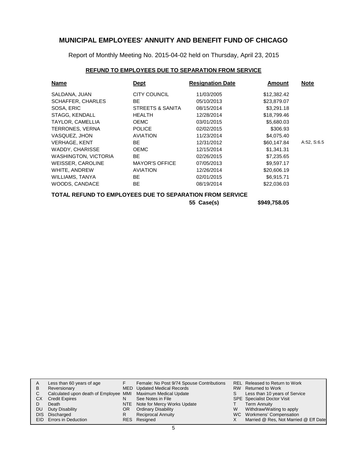Report of Monthly Meeting No. 2015-04-02 held on Thursday, April 23, 2015

### **REFUND TO EMPLOYEES DUE TO SEPARATION FROM SERVICE**

| <b>Name</b>                                              | <b>Dept</b>           | <b>Resignation Date</b> | <b>Amount</b> | <b>Note</b> |
|----------------------------------------------------------|-----------------------|-------------------------|---------------|-------------|
| SALDANA, JUAN                                            | <b>CITY COUNCIL</b>   | 11/03/2005              | \$12,382.42   |             |
| <b>SCHAFFER, CHARLES</b>                                 | BE                    | 05/10/2013              | \$23,879.07   |             |
| SOSA, ERIC                                               | STREETS & SANITA      | 08/15/2014              | \$3,291.18    |             |
| STAGG, KENDALL                                           | <b>HEALTH</b>         | 12/28/2014              | \$18,799.46   |             |
| TAYLOR, CAMELLIA                                         | <b>OEMC</b>           | 03/01/2015              | \$5,680.03    |             |
| <b>TERRONES, VERNA</b>                                   | <b>POLICE</b>         | 02/02/2015              | \$306.93      |             |
| VASQUEZ, JHON                                            | <b>AVIATION</b>       | 11/23/2014              | \$4,075.40    |             |
| <b>VERHAGE, KENT</b>                                     | BE.                   | 12/31/2012              | \$60,147.84   | A:52, S:6.5 |
| WADDY, CHARISSE                                          | <b>OEMC</b>           | 12/15/2014              | \$1,341.31    |             |
| <b>WASHINGTON, VICTORIA</b>                              | BE                    | 02/26/2015              | \$7,235.65    |             |
| WEISSER, CAROLINE                                        | <b>MAYOR'S OFFICE</b> | 07/05/2013              | \$9,597.17    |             |
| WHITE, ANDREW                                            | <b>AVIATION</b>       | 12/26/2014              | \$20,606.19   |             |
| WILLIAMS, TANYA                                          | BE.                   | 02/01/2015              | \$6,915.71    |             |
| WOODS, CANDACE                                           | BE.                   | 08/19/2014              | \$22,036.03   |             |
| TOTAL REFUND TO EMPLOYEES DUE TO SEPARATION FROM SERVICE |                       |                         |               |             |

**55 Case(s) \$949,758.05**

|    | Less than 60 years of age                                    |     | Female: No Post 9/74 Spouse Contributions |   | REL Released to Return to Work        |
|----|--------------------------------------------------------------|-----|-------------------------------------------|---|---------------------------------------|
| B  | Reversionary                                                 |     | MED Updated Medical Records               |   | RW Returned to Work                   |
|    | Calculated upon death of Employee MMI Maximum Medical Update |     |                                           | S | Less than 10 years of Service         |
| СX | <b>Credit Expires</b>                                        | N   | See Notes in File                         |   | <b>SPE</b> Specialist Doctor Visit    |
|    | Death                                                        |     | NTE Note for Mercy Works Update           |   | <b>Term Annuity</b>                   |
| DU | Duty Disability                                              | OR. | <b>Ordinary Disability</b>                | W | Withdraw/Waiting to apply             |
|    | DIS Discharged                                               | R   | <b>Reciprocal Annuity</b>                 |   | WC Workmens' Compensation             |
|    | EID Errors in Deduction                                      |     | RES Resigned                              |   | Married @ Res, Not Married @ Eff Date |
|    |                                                              |     |                                           |   |                                       |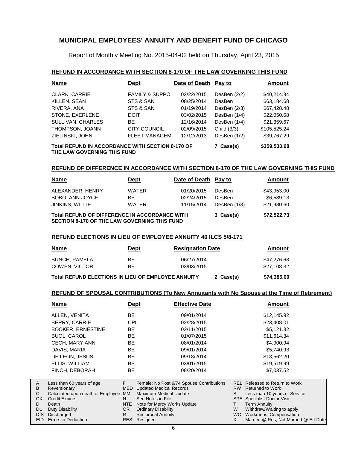Report of Monthly Meeting No. 2015-04-02 held on Thursday, April 23, 2015

#### **REFUND IN ACCORDANCE WITH SECTION 8-170 OF THE LAW GOVERNING THIS FUND**

| <b>Name</b>                                                                                                  | <b>Dept</b>               | Date of Death Pay to |                | <b>Amount</b> |  |  |
|--------------------------------------------------------------------------------------------------------------|---------------------------|----------------------|----------------|---------------|--|--|
| CLARK, CARRIE                                                                                                | <b>FAMILY &amp; SUPPO</b> | 02/22/2015           | DesBen (2/2)   | \$40,214.94   |  |  |
| KILLEN, SEAN                                                                                                 | STS & SAN                 | 08/25/2014           | <b>DesBen</b>  | \$63,184.68   |  |  |
| RIVERA, ANA                                                                                                  | STS & SAN                 | 01/19/2014           | DesBen $(2/3)$ | \$67.428.48   |  |  |
| STONE, EXERLENE                                                                                              | <b>DOIT</b>               | 03/02/2015           | DesBen (1/4)   | \$22,050.68   |  |  |
| SULLIVAN, CHARLES                                                                                            | <b>BE</b>                 | 12/16/2014           | DesBen (1/4)   | \$21,359.67   |  |  |
| THOMPSON, JOANN                                                                                              | CITY COUNCIL              | 02/09/2015           | Child (3/3)    | \$105,525.24  |  |  |
| ZIELINSKI, JOHN                                                                                              | <b>FLEET MANAGEM</b>      | 12/12/2013           | DesBen (1/2)   | \$39,767.29   |  |  |
| Total REFUND IN ACCORDANCE WITH SECTION 8-170 OF<br>\$359,530.98<br>7 Case(s)<br>THE LAW GOVERNING THIS FUND |                           |                      |                |               |  |  |

#### **REFUND OF DIFFERENCE IN ACCORDANCE WITH SECTION 8-170 OF THE LAW GOVERNING THIS FUND**

| <b>Name</b>                                                                                   | <b>Dept</b>  | Date of Death Pay to |                | Amount      |
|-----------------------------------------------------------------------------------------------|--------------|----------------------|----------------|-------------|
| ALEXANDER, HENRY                                                                              | <b>WATER</b> | 01/20/2015           | DesBen         | \$43,953.00 |
| BOBO, ANN JOYCE                                                                               | BE.          | 02/24/2015           | DesBen         | \$6.589.13  |
| JINKINS, WILLIE                                                                               | <b>WATER</b> | 11/15/2014           | DesBen $(1/3)$ | \$21,980.60 |
| Total REFUND OF DIFFERENCE IN ACCORDANCE WITH<br>SECTION 8-170 OF THE LAW GOVERNING THIS FUND |              |                      | 3 Case(s)      | \$72,522.73 |

#### **REFUND ELECTIONS IN LIEU OF EMPLOYEE ANNUITY 40 ILCS 5/8-171**

| <b>Name</b>                                               | <u>Dept</u> | <b>Resignation Date</b>  |           | Amount                     |
|-----------------------------------------------------------|-------------|--------------------------|-----------|----------------------------|
| BUNCH, PAMELA<br>COWEN, VICTOR                            | ВE<br>BЕ    | 06/27/2014<br>03/03/2015 |           | \$47.276.68<br>\$27.108.32 |
| <b>Total REFUND ELECTIONS IN LIEU OF EMPLOYEE ANNUITY</b> |             |                          | 2 Case(s) | \$74,385.00                |

#### **REFUND OF SPOUSAL CONTRIBUTIONS (To New Annuitants with No Spouse at the Time of Retirement)**

|              | <b>Name</b>                       | <u>Dept</u> | <b>Effective Date</b>                     |           | Amount                                |
|--------------|-----------------------------------|-------------|-------------------------------------------|-----------|---------------------------------------|
|              | ALLEN, VENITA                     | <b>BE</b>   | 09/01/2014                                |           | \$12,145.92                           |
|              | BERRY, CARRIE                     | <b>CPL</b>  | 02/28/2015                                |           | \$23,408.01                           |
|              | <b>BOOKER, ERNESTINE</b>          | BE          | 02/11/2015                                |           | \$5,121.32                            |
|              | <b>BUOL, CAROL</b>                | <b>BE</b>   | 01/07/2015                                |           | \$11,614.34                           |
|              | CECH, MARY ANN                    | BE          | 08/01/2014                                |           | \$4,900.94                            |
|              | DAVIS, MARIA                      | BE          | 09/01/2014                                |           | \$5,740.93                            |
|              | DE LEON, JESUS                    | <b>BE</b>   | 09/18/2014                                |           | \$13,562.20                           |
|              | ELLIS, WILLIAM                    | <b>BE</b>   | 03/01/2015                                |           | \$19,519.99                           |
|              | FINCH, DEBORAH                    | <b>BE</b>   | 08/20/2014                                |           | \$7,037.52                            |
| A            | Less than 60 years of age         | F.          | Female: No Post 9/74 Spouse Contributions |           | <b>REL Released to Return to Work</b> |
| B            | Reversionary                      | <b>MED</b>  | <b>Updated Medical Records</b>            | <b>RW</b> | <b>Returned to Work</b>               |
| $\mathsf{C}$ | Calculated upon death of Employee | MMI         | Maximum Medical Update                    | S         | Less than 10 years of Service         |
| CX.          | <b>Credit Expires</b>             | N.          | See Notes in File                         |           | <b>SPE</b> Specialist Doctor Visit    |
| D            | Death                             | <b>NTE</b>  | Note for Mercy Works Update               |           | <b>Term Annuity</b>                   |
| <b>DU</b>    | Duty Disability                   | OR.         | <b>Ordinary Disability</b>                | W         | Withdraw/Waiting to apply             |
| <b>DIS</b>   | Discharged                        | R.          | <b>Reciprocal Annuity</b>                 | WC.       | Workmens' Compensation                |
| EID.         | Errors in Deduction               | <b>RES</b>  | Resigned                                  | X         | Married @ Res, Not Married @ Eff Date |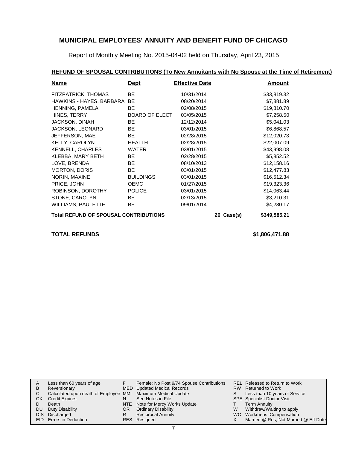Report of Monthly Meeting No. 2015-04-02 held on Thursday, April 23, 2015

## **REFUND OF SPOUSAL CONTRIBUTIONS (To New Annuitants with No Spouse at the Time of Retirement)**

| Name                                         | <b>Dept</b>      | <b>Effective Date</b> |            | Amount       |
|----------------------------------------------|------------------|-----------------------|------------|--------------|
| FITZPATRICK, THOMAS                          | <b>BE</b>        | 10/31/2014            |            | \$33,819.32  |
| HAWKINS - HAYES, BARBARA BE                  |                  | 08/20/2014            |            | \$7,881.89   |
| HENNING, PAMELA                              | <b>BE</b>        | 02/08/2015            |            | \$19,810.70  |
| HINES, TERRY                                 | BOARD OF ELECT   | 03/05/2015            |            | \$7,258.50   |
| JACKSON, DINAH                               | <b>BE</b>        | 12/12/2014            |            | \$5,041.03   |
| JACKSON, LEONARD                             | <b>BE</b>        | 03/01/2015            |            | \$6,868.57   |
| JEFFERSON, MAE                               | <b>BE</b>        | 02/28/2015            |            | \$12,020.73  |
| <b>KELLY, CAROLYN</b>                        | <b>HEALTH</b>    | 02/28/2015            |            | \$22,007.09  |
| <b>KENNELL, CHARLES</b>                      | <b>WATER</b>     | 03/01/2015            |            | \$43,998.08  |
| KLEBBA, MARY BETH                            | <b>BE</b>        | 02/28/2015            |            | \$5,852.52   |
| LOVE, BRENDA                                 | <b>BE</b>        | 08/10/2013            |            | \$12,158.16  |
| <b>MORTON, DORIS</b>                         | <b>BE</b>        | 03/01/2015            |            | \$12,477.83  |
| NORIN, MAXINE                                | <b>BUILDINGS</b> | 03/01/2015            |            | \$16,512.34  |
| PRICE, JOHN                                  | <b>OEMC</b>      | 01/27/2015            |            | \$19,323.36  |
| ROBINSON, DOROTHY                            | <b>POLICE</b>    | 03/01/2015            |            | \$14,063.44  |
| STONE, CAROLYN                               | <b>BE</b>        | 02/13/2015            |            | \$3,210.31   |
| <b>WILLIAMS, PAULETTE</b>                    | <b>BE</b>        | 09/01/2014            |            | \$4,230.17   |
| <b>Total REFUND OF SPOUSAL CONTRIBUTIONS</b> |                  |                       | 26 Case(s) | \$349,585.21 |

#### **TOTAL REFUNDS \$1,806,471.88**

| A    | Less than 60 years of age                                    |     | Female: No Post 9/74 Spouse Contributions |   | REL Released to Return to Work        |
|------|--------------------------------------------------------------|-----|-------------------------------------------|---|---------------------------------------|
| B    | Reversionary                                                 |     | MED Updated Medical Records               |   | RW Returned to Work                   |
|      | Calculated upon death of Employee MMI Maximum Medical Update |     |                                           |   | Less than 10 years of Service         |
| СX   | <b>Credit Expires</b>                                        | N   | See Notes in File                         |   | <b>SPE</b> Specialist Doctor Visit    |
|      | Death                                                        |     | NTE Note for Mercy Works Update           |   | <b>Term Annuity</b>                   |
| DU   | Duty Disability                                              | OR. | <b>Ordinary Disability</b>                | W | Withdraw/Waiting to apply             |
| DIS. | Discharged                                                   | R   | Reciprocal Annuity                        |   | WC Workmens' Compensation             |
|      | EID Errors in Deduction                                      |     | RES Resigned                              |   | Married @ Res, Not Married @ Eff Date |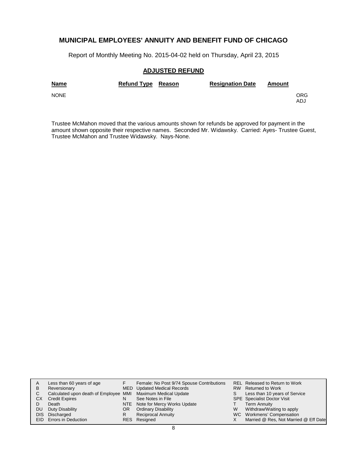Report of Monthly Meeting No. 2015-04-02 held on Thursday, April 23, 2015

#### **ADJUSTED REFUND**

| <b>Name</b> | Refund Type Reason | <b>Resignation Date</b> | Amount |            |
|-------------|--------------------|-------------------------|--------|------------|
| <b>NONE</b> |                    |                         |        | ORG<br>ADJ |

Trustee McMahon moved that the various amounts shown for refunds be approved for payment in the amount shown opposite their respective names. Seconded Mr. Widawsky. Carried: Ayes- Trustee Guest, Trustee McMahon and Trustee Widawsky. Nays-None.

|     | Less than 60 years of age                                    |    | Female: No Post 9/74 Spouse Contributions |    | REL Released to Return to Work        |
|-----|--------------------------------------------------------------|----|-------------------------------------------|----|---------------------------------------|
| в   | Reversionary                                                 |    | MED Updated Medical Records               |    | RW Returned to Work                   |
| C   | Calculated upon death of Employee MMI Maximum Medical Update |    |                                           | S. | Less than 10 years of Service         |
| CХ  | <b>Credit Expires</b>                                        | N  | See Notes in File                         |    | <b>SPE</b> Specialist Doctor Visit    |
|     | Death                                                        |    | NTE Note for Mercy Works Update           |    | <b>Term Annuity</b>                   |
| DU. | Duty Disability                                              | OR | <b>Ordinary Disability</b>                | W  | Withdraw/Waiting to apply             |
|     | DIS Discharged                                               | R  | <b>Reciprocal Annuity</b>                 |    | WC Workmens' Compensation             |
|     | EID Errors in Deduction                                      |    | RES Resigned                              |    | Married @ Res, Not Married @ Eff Date |
|     |                                                              |    |                                           |    |                                       |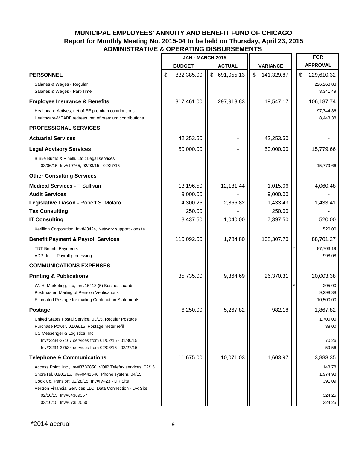# **MUNICIPAL EMPLOYEES' ANNUITY AND BENEFIT FUND OF CHICAGO Report for Monthly Meeting No. 2015-04 to be held on Thursday, April 23, 2015 ADMINISTRATIVE & OPERATING DISBURSEMENTS**

|                                                                                                                                                                                                                                                                 | <b>JAN - MARCH 2015</b> |                  |                  |    | <b>FOR</b>                             |
|-----------------------------------------------------------------------------------------------------------------------------------------------------------------------------------------------------------------------------------------------------------------|-------------------------|------------------|------------------|----|----------------------------------------|
|                                                                                                                                                                                                                                                                 | <b>BUDGET</b>           | <b>ACTUAL</b>    | <b>VARIANCE</b>  |    | <b>APPROVAL</b>                        |
| <b>PERSONNEL</b>                                                                                                                                                                                                                                                | \$<br>832,385.00        | \$<br>691,055.13 | \$<br>141,329.87 | \$ | 229,610.32                             |
| Salaries & Wages - Regular<br>Salaries & Wages - Part-Time                                                                                                                                                                                                      |                         |                  |                  |    | 226,268.83<br>3,341.49                 |
| <b>Employee Insurance &amp; Benefits</b>                                                                                                                                                                                                                        | 317,461.00              | 297,913.83       | 19,547.17        |    | 106,187.74                             |
| Healthcare-Actives, net of EE premium contributions<br>Healthcare-MEABF retirees, net of premium contributions                                                                                                                                                  |                         |                  |                  |    | 97,744.36<br>8,443.38                  |
| <b>PROFESSIONAL SERVICES</b>                                                                                                                                                                                                                                    |                         |                  |                  |    |                                        |
| <b>Actuarial Services</b>                                                                                                                                                                                                                                       | 42,253.50               |                  | 42,253.50        |    |                                        |
| <b>Legal Advisory Services</b>                                                                                                                                                                                                                                  | 50,000.00               |                  | 50,000.00        |    | 15,779.66                              |
| Burke Burns & Pinelli, Ltd.: Legal services<br>03/06/15, Inv#19765, 02/03/15 - 02/27/15                                                                                                                                                                         |                         |                  |                  |    | 15,779.66                              |
| <b>Other Consulting Services</b>                                                                                                                                                                                                                                |                         |                  |                  |    |                                        |
| <b>Medical Services - T Sullivan</b>                                                                                                                                                                                                                            | 13,196.50               | 12,181.44        | 1,015.06         |    | 4,060.48                               |
| <b>Audit Services</b>                                                                                                                                                                                                                                           | 9,000.00                |                  | 9,000.00         |    |                                        |
| Legislative Liason - Robert S. Molaro                                                                                                                                                                                                                           | 4,300.25                | 2,866.82         | 1,433.43         |    | 1,433.41                               |
| <b>Tax Consulting</b>                                                                                                                                                                                                                                           | 250.00                  |                  | 250.00           |    |                                        |
| <b>IT Consulting</b>                                                                                                                                                                                                                                            | 8,437.50                | 1,040.00         | 7,397.50         |    | 520.00                                 |
| Xerillion Corporation, Inv#43424, Network support - onsite                                                                                                                                                                                                      |                         |                  |                  |    | 520.00                                 |
| <b>Benefit Payment &amp; Payroll Services</b>                                                                                                                                                                                                                   | 110,092.50              | 1,784.80         | 108,307.70       |    | 88,701.27                              |
| <b>TNT Benefit Payments</b><br>ADP, Inc. - Payroll processing                                                                                                                                                                                                   |                         |                  |                  |    | 87,703.19<br>998.08                    |
| <b>COMMUNICATIONS EXPENSES</b>                                                                                                                                                                                                                                  |                         |                  |                  |    |                                        |
| <b>Printing &amp; Publications</b>                                                                                                                                                                                                                              | 35,735.00               | 9,364.69         | 26,370.31        |    | 20,003.38                              |
| W. H. Marketing, Inc, Inv#16413 (5) Business cards<br>Postmaster, Mailing of Pension Verifications<br>Estimated Postage for mailing Contribution Statements                                                                                                     |                         |                  |                  |    | 205.00<br>9,298.38<br>10,500.00        |
| <b>Postage</b>                                                                                                                                                                                                                                                  | 6,250.00                | 5,267.82         | 982.18           |    | 1,867.82                               |
| United States Postal Service, 03/15, Regular Postage<br>Purchase Power, 02/09/15, Postage meter refill<br>US Messenger & Logistics, Inc.:<br>Inv#3234-27167 services from 01/02/15 - 01/30/15<br>Inv#3234-27534 services from 02/06/15 - 02/27/15               |                         |                  |                  |    | 1,700.00<br>38.00<br>70.26<br>59.56    |
| <b>Telephone &amp; Communications</b>                                                                                                                                                                                                                           | 11,675.00               | 10,071.03        | 1,603.97         |    | 3,883.35                               |
| Access Point, Inc., Inv#3782850, VOIP Telefax services, 02/15<br>ShoreTel, 03/01/15, Inv#0441546, Phone system, 04/15<br>Cook Co. Pension: 02/28/15, Inv#IV423 - DR Site<br>Verizon Financial Services LLC, Data Connection - DR Site<br>02/10/15, Inv#64369357 |                         |                  |                  |    | 143.78<br>1,974.98<br>391.09<br>324.25 |
| 03/10/15, Inv#67352060                                                                                                                                                                                                                                          |                         |                  |                  |    | 324.25                                 |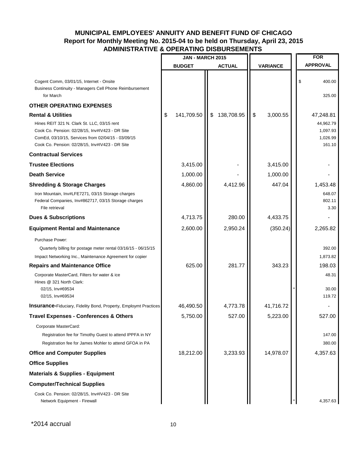# **MUNICIPAL EMPLOYEES' ANNUITY AND BENEFIT FUND OF CHICAGO Report for Monthly Meeting No. 2015-04 to be held on Thursday, April 23, 2015 ADMINISTRATIVE & OPERATING DISBURSEMENTS**

|                                                                                                                                                                                                         | <b>JAN - MARCH 2015</b> |               |            |                         |                 | <b>FOR</b>                                  |
|---------------------------------------------------------------------------------------------------------------------------------------------------------------------------------------------------------|-------------------------|---------------|------------|-------------------------|-----------------|---------------------------------------------|
|                                                                                                                                                                                                         | <b>BUDGET</b>           | <b>ACTUAL</b> |            |                         | <b>VARIANCE</b> | <b>APPROVAL</b>                             |
|                                                                                                                                                                                                         |                         |               |            |                         |                 |                                             |
| Cogent Comm, 03/01/15, Internet - Onsite<br>Business Continuity - Managers Cell Phone Reimbursement<br>for March                                                                                        |                         |               |            |                         |                 | \$<br>400.00<br>325.00                      |
| <b>OTHER OPERATING EXPENSES</b>                                                                                                                                                                         |                         |               |            |                         |                 |                                             |
| <b>Rental &amp; Utilities</b>                                                                                                                                                                           | \$<br>141,709.50        | \$            | 138,708.95 | $\sqrt[6]{\frac{1}{2}}$ | 3,000.55        | 47,248.81                                   |
| Hines REIT 321 N. Clark St. LLC, 03/15 rent<br>Cook Co. Pension: 02/28/15, Inv#IV423 - DR Site<br>ComEd, 03/10/15, Services from 02/04/15 - 03/09/15<br>Cook Co. Pension: 02/28/15, Inv#IV423 - DR Site |                         |               |            |                         |                 | 44,962.79<br>1,097.93<br>1,026.99<br>161.10 |
| <b>Contractual Services</b>                                                                                                                                                                             |                         |               |            |                         |                 |                                             |
| <b>Trustee Elections</b>                                                                                                                                                                                | 3,415.00                |               |            |                         | 3,415.00        |                                             |
| <b>Death Service</b>                                                                                                                                                                                    | 1,000.00                |               |            |                         | 1,000.00        |                                             |
| <b>Shredding &amp; Storage Charges</b>                                                                                                                                                                  | 4,860.00                |               | 4,412.96   |                         | 447.04          | 1,453.48                                    |
| Iron Mountain, Inv#LFE7271, 03/15 Storage charges<br>Federal Companies, Inv#862717, 03/15 Storage charges<br>File retrieval                                                                             |                         |               |            |                         |                 | 648.07<br>802.11<br>3.30                    |
| <b>Dues &amp; Subscriptions</b>                                                                                                                                                                         | 4,713.75                |               | 280.00     |                         | 4,433.75        |                                             |
| <b>Equipment Rental and Maintenance</b>                                                                                                                                                                 | 2,600.00                |               | 2,950.24   |                         | (350.24)        | 2,265.82                                    |
| Purchase Power:                                                                                                                                                                                         |                         |               |            |                         |                 |                                             |
| Quarterly billing for postage meter rental 03/16/15 - 06/15/15                                                                                                                                          |                         |               |            |                         |                 | 392.00                                      |
| Impact Networking Inc., Maintenance Agreement for copier                                                                                                                                                |                         |               |            |                         |                 | 1,873.82                                    |
| <b>Repairs and Maintenance Office</b>                                                                                                                                                                   | 625.00                  |               | 281.77     |                         | 343.23          | 198.03                                      |
| Corporate MasterCard, Filters for water & ice<br>Hines @ 321 North Clark:<br>02/15, Inv#69534<br>02/15, Inv#69534                                                                                       |                         |               |            |                         |                 | 48.31<br>30.00<br>119.72                    |
| <b>Insurance-Fiduciary, Fidelity Bond, Property, Employmt Practices</b>                                                                                                                                 | 46,490.50               |               | 4,773.78   |                         | 41,716.72       |                                             |
| <b>Travel Expenses - Conferences &amp; Others</b>                                                                                                                                                       | 5,750.00                |               | 527.00     |                         | 5,223.00        | 527.00                                      |
| Corporate MasterCard:<br>Registration fee for Timothy Guest to attend IPPFA in NY<br>Registration fee for James Mohler to attend GFOA in PA                                                             |                         |               |            |                         |                 | 147.00<br>380.00                            |
| <b>Office and Computer Supplies</b>                                                                                                                                                                     | 18,212.00               |               | 3,233.93   |                         | 14,978.07       | 4,357.63                                    |
| <b>Office Supplies</b>                                                                                                                                                                                  |                         |               |            |                         |                 |                                             |
| <b>Materials &amp; Supplies - Equipment</b>                                                                                                                                                             |                         |               |            |                         |                 |                                             |
| <b>Computer/Technical Supplies</b>                                                                                                                                                                      |                         |               |            |                         |                 |                                             |
| Cook Co. Pension: 02/28/15, Inv#IV423 - DR Site<br>Network Equipment - Firewall                                                                                                                         |                         |               |            |                         |                 | 4,357.63                                    |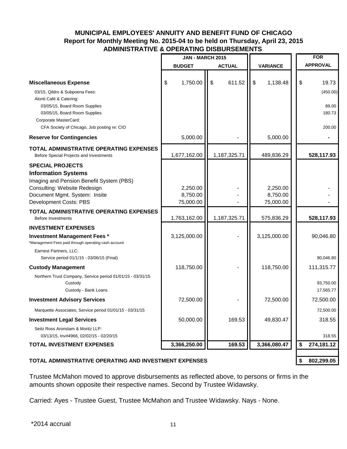# **MUNICIPAL EMPLOYEES' ANNUITY AND BENEFIT FUND OF CHICAGO Report for Monthly Meeting No. 2015-04 to be held on Thursday, April 23, 2015 ADMINISTRATIVE & OPERATING DISBURSEMENTS**

| <b>VARIANCE</b><br><b>BUDGET</b><br><b>ACTUAL</b><br>1,750.00<br>$\sqrt{3}$<br>\$<br>611.52<br>\$<br>\$<br>1,138.48<br><b>Miscellaneous Expense</b><br>03/15, Qildro & Subpoena Fees:<br>Alonti Café & Catering:<br>03/05/15, Board Room Supplies<br>03/05/15, Board Room Supplies<br>Corporate MasterCard:<br>CFA Society of Chicago, Job posting re: CIO<br>5,000.00<br>5,000.00<br><b>Reserve for Contingencies</b><br>TOTAL ADMINISTRATIVE OPERATING EXPENSES<br>1,677,162.00<br>1,187,325.71<br>489,836.29<br>Before Special Projects and Investments<br><b>SPECIAL PROJECTS</b><br><b>Information Systems</b><br>Imaging and Pension Benefit System (PBS)<br>2,250.00<br>Consulting: Website Redesign<br>2,250.00<br>8,750.00<br>Document Mgmt. System: Insite<br>8,750.00<br>Development Costs: PBS<br>75,000.00<br>75,000.00<br><b>TOTAL ADMINISTRATIVE OPERATING EXPENSES</b><br>1,763,162.00<br>1,187,325.71<br>575,836.29<br><b>Before Investments</b><br><b>INVESTMENT EXPENSES</b><br>3,125,000.00<br>3,125,000.00<br><b>Investment Management Fees *</b><br>*Management Fees paid through operating cash account<br>Earnest Partners, LLC:<br>Service period 01/1/15 - 03/06/15 (Final)<br>118,750.00<br>118,750.00<br><b>Custody Management</b><br>Northern Trust Company, Service period 01/01/15 - 03/31/15<br>Custody<br>Custody - Bank Loans<br>72,500.00<br><b>Investment Advisory Services</b><br>72,500.00<br>Marquette Associates, Service period 01/01/15 - 03/31/15<br>50,000.00<br>169.53<br>49,830.47<br><b>Investment Legal Services</b><br>Seitz Ross Aronstam & Moritz LLP:<br>03/13/15, Inv#4966, 02/02/15 - 02/20/15 | <b>JAN - MARCH 2015</b> |  | <b>FOR</b>      |
|------------------------------------------------------------------------------------------------------------------------------------------------------------------------------------------------------------------------------------------------------------------------------------------------------------------------------------------------------------------------------------------------------------------------------------------------------------------------------------------------------------------------------------------------------------------------------------------------------------------------------------------------------------------------------------------------------------------------------------------------------------------------------------------------------------------------------------------------------------------------------------------------------------------------------------------------------------------------------------------------------------------------------------------------------------------------------------------------------------------------------------------------------------------------------------------------------------------------------------------------------------------------------------------------------------------------------------------------------------------------------------------------------------------------------------------------------------------------------------------------------------------------------------------------------------------------------------------------------------------------------------------------------|-------------------------|--|-----------------|
|                                                                                                                                                                                                                                                                                                                                                                                                                                                                                                                                                                                                                                                                                                                                                                                                                                                                                                                                                                                                                                                                                                                                                                                                                                                                                                                                                                                                                                                                                                                                                                                                                                                      |                         |  | <b>APPROVAL</b> |
|                                                                                                                                                                                                                                                                                                                                                                                                                                                                                                                                                                                                                                                                                                                                                                                                                                                                                                                                                                                                                                                                                                                                                                                                                                                                                                                                                                                                                                                                                                                                                                                                                                                      |                         |  |                 |
|                                                                                                                                                                                                                                                                                                                                                                                                                                                                                                                                                                                                                                                                                                                                                                                                                                                                                                                                                                                                                                                                                                                                                                                                                                                                                                                                                                                                                                                                                                                                                                                                                                                      |                         |  | 19.73           |
|                                                                                                                                                                                                                                                                                                                                                                                                                                                                                                                                                                                                                                                                                                                                                                                                                                                                                                                                                                                                                                                                                                                                                                                                                                                                                                                                                                                                                                                                                                                                                                                                                                                      |                         |  | (450.00)        |
|                                                                                                                                                                                                                                                                                                                                                                                                                                                                                                                                                                                                                                                                                                                                                                                                                                                                                                                                                                                                                                                                                                                                                                                                                                                                                                                                                                                                                                                                                                                                                                                                                                                      |                         |  | 89.00           |
|                                                                                                                                                                                                                                                                                                                                                                                                                                                                                                                                                                                                                                                                                                                                                                                                                                                                                                                                                                                                                                                                                                                                                                                                                                                                                                                                                                                                                                                                                                                                                                                                                                                      |                         |  | 180.73          |
|                                                                                                                                                                                                                                                                                                                                                                                                                                                                                                                                                                                                                                                                                                                                                                                                                                                                                                                                                                                                                                                                                                                                                                                                                                                                                                                                                                                                                                                                                                                                                                                                                                                      |                         |  |                 |
|                                                                                                                                                                                                                                                                                                                                                                                                                                                                                                                                                                                                                                                                                                                                                                                                                                                                                                                                                                                                                                                                                                                                                                                                                                                                                                                                                                                                                                                                                                                                                                                                                                                      |                         |  | 200.00          |
|                                                                                                                                                                                                                                                                                                                                                                                                                                                                                                                                                                                                                                                                                                                                                                                                                                                                                                                                                                                                                                                                                                                                                                                                                                                                                                                                                                                                                                                                                                                                                                                                                                                      |                         |  |                 |
|                                                                                                                                                                                                                                                                                                                                                                                                                                                                                                                                                                                                                                                                                                                                                                                                                                                                                                                                                                                                                                                                                                                                                                                                                                                                                                                                                                                                                                                                                                                                                                                                                                                      |                         |  | 528,117.93      |
|                                                                                                                                                                                                                                                                                                                                                                                                                                                                                                                                                                                                                                                                                                                                                                                                                                                                                                                                                                                                                                                                                                                                                                                                                                                                                                                                                                                                                                                                                                                                                                                                                                                      |                         |  |                 |
|                                                                                                                                                                                                                                                                                                                                                                                                                                                                                                                                                                                                                                                                                                                                                                                                                                                                                                                                                                                                                                                                                                                                                                                                                                                                                                                                                                                                                                                                                                                                                                                                                                                      |                         |  |                 |
|                                                                                                                                                                                                                                                                                                                                                                                                                                                                                                                                                                                                                                                                                                                                                                                                                                                                                                                                                                                                                                                                                                                                                                                                                                                                                                                                                                                                                                                                                                                                                                                                                                                      |                         |  |                 |
|                                                                                                                                                                                                                                                                                                                                                                                                                                                                                                                                                                                                                                                                                                                                                                                                                                                                                                                                                                                                                                                                                                                                                                                                                                                                                                                                                                                                                                                                                                                                                                                                                                                      |                         |  |                 |
|                                                                                                                                                                                                                                                                                                                                                                                                                                                                                                                                                                                                                                                                                                                                                                                                                                                                                                                                                                                                                                                                                                                                                                                                                                                                                                                                                                                                                                                                                                                                                                                                                                                      |                         |  |                 |
|                                                                                                                                                                                                                                                                                                                                                                                                                                                                                                                                                                                                                                                                                                                                                                                                                                                                                                                                                                                                                                                                                                                                                                                                                                                                                                                                                                                                                                                                                                                                                                                                                                                      |                         |  |                 |
|                                                                                                                                                                                                                                                                                                                                                                                                                                                                                                                                                                                                                                                                                                                                                                                                                                                                                                                                                                                                                                                                                                                                                                                                                                                                                                                                                                                                                                                                                                                                                                                                                                                      |                         |  | 528,117.93      |
|                                                                                                                                                                                                                                                                                                                                                                                                                                                                                                                                                                                                                                                                                                                                                                                                                                                                                                                                                                                                                                                                                                                                                                                                                                                                                                                                                                                                                                                                                                                                                                                                                                                      |                         |  |                 |
|                                                                                                                                                                                                                                                                                                                                                                                                                                                                                                                                                                                                                                                                                                                                                                                                                                                                                                                                                                                                                                                                                                                                                                                                                                                                                                                                                                                                                                                                                                                                                                                                                                                      |                         |  | 90,046.80       |
|                                                                                                                                                                                                                                                                                                                                                                                                                                                                                                                                                                                                                                                                                                                                                                                                                                                                                                                                                                                                                                                                                                                                                                                                                                                                                                                                                                                                                                                                                                                                                                                                                                                      |                         |  | 90,046.80       |
|                                                                                                                                                                                                                                                                                                                                                                                                                                                                                                                                                                                                                                                                                                                                                                                                                                                                                                                                                                                                                                                                                                                                                                                                                                                                                                                                                                                                                                                                                                                                                                                                                                                      |                         |  | 111,315.77      |
|                                                                                                                                                                                                                                                                                                                                                                                                                                                                                                                                                                                                                                                                                                                                                                                                                                                                                                                                                                                                                                                                                                                                                                                                                                                                                                                                                                                                                                                                                                                                                                                                                                                      |                         |  |                 |
|                                                                                                                                                                                                                                                                                                                                                                                                                                                                                                                                                                                                                                                                                                                                                                                                                                                                                                                                                                                                                                                                                                                                                                                                                                                                                                                                                                                                                                                                                                                                                                                                                                                      |                         |  | 93,750.00       |
|                                                                                                                                                                                                                                                                                                                                                                                                                                                                                                                                                                                                                                                                                                                                                                                                                                                                                                                                                                                                                                                                                                                                                                                                                                                                                                                                                                                                                                                                                                                                                                                                                                                      |                         |  | 17,565.77       |
|                                                                                                                                                                                                                                                                                                                                                                                                                                                                                                                                                                                                                                                                                                                                                                                                                                                                                                                                                                                                                                                                                                                                                                                                                                                                                                                                                                                                                                                                                                                                                                                                                                                      |                         |  | 72,500.00       |
|                                                                                                                                                                                                                                                                                                                                                                                                                                                                                                                                                                                                                                                                                                                                                                                                                                                                                                                                                                                                                                                                                                                                                                                                                                                                                                                                                                                                                                                                                                                                                                                                                                                      |                         |  | 72,500.00       |
|                                                                                                                                                                                                                                                                                                                                                                                                                                                                                                                                                                                                                                                                                                                                                                                                                                                                                                                                                                                                                                                                                                                                                                                                                                                                                                                                                                                                                                                                                                                                                                                                                                                      |                         |  | 318.55          |
|                                                                                                                                                                                                                                                                                                                                                                                                                                                                                                                                                                                                                                                                                                                                                                                                                                                                                                                                                                                                                                                                                                                                                                                                                                                                                                                                                                                                                                                                                                                                                                                                                                                      |                         |  |                 |
|                                                                                                                                                                                                                                                                                                                                                                                                                                                                                                                                                                                                                                                                                                                                                                                                                                                                                                                                                                                                                                                                                                                                                                                                                                                                                                                                                                                                                                                                                                                                                                                                                                                      |                         |  | 318.55          |
| 3,366,250.00<br>169.53<br>3,366,080.47<br>\$<br><b>TOTAL INVESTMENT EXPENSES</b>                                                                                                                                                                                                                                                                                                                                                                                                                                                                                                                                                                                                                                                                                                                                                                                                                                                                                                                                                                                                                                                                                                                                                                                                                                                                                                                                                                                                                                                                                                                                                                     |                         |  | 274,181.12      |

### TOTAL ADMINISTRATIVE OPERATING AND INVESTMENT EXPENSES **802,299.05** \$ 802,299.05

Trustee McMahon moved to approve disbursements as reflected above, to persons or firms in the amounts shown opposite their respective names. Second by Trustee Widawsky.

Carried: Ayes - Trustee Guest, Trustee McMahon and Trustee Widawsky. Nays - None.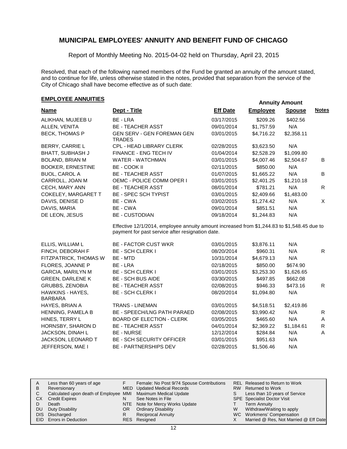Report of Monthly Meeting No. 2015-04-02 held on Thursday, April 23, 2015

Resolved, that each of the following named members of the Fund be granted an annuity of the amount stated, and to continue for life, unless otherwise stated in the notes, provided that separation from the service of the City of Chicago shall have become effective as of such date:

# **EMPLOYEE ANNUITIES**<br> **EMPLOYEE ANNUITIES**

| <b>Name</b>                | Dept - Title                                                                                                                                    | <b>Eff Date</b> | <b>Employee</b> | <b>Spouse</b> | <b>Notes</b> |
|----------------------------|-------------------------------------------------------------------------------------------------------------------------------------------------|-----------------|-----------------|---------------|--------------|
| ALIKHAN, MUJEEB U          | BE - LRA                                                                                                                                        | 03/17/2015      | \$209.26        | \$402.56      |              |
| ALLEN, VENITA              | <b>BE - TEACHER ASST</b>                                                                                                                        | 09/01/2014      | \$1,757.59      | N/A           |              |
| <b>BECK, THOMAS P</b>      | <b>GEN SERV - GEN FOREMAN GEN</b><br>TRADES                                                                                                     | 03/01/2015      | \$4,716.22      | \$2,358.11    |              |
| BERRY, CARRIE L            | <b>CPL - HEAD LIBRARY CLERK</b>                                                                                                                 | 02/28/2015      | \$3,623.50      | N/A           |              |
| <b>BHATT, SUBHASH J</b>    | <b>FINANCE - ENG TECH IV</b>                                                                                                                    | 01/04/2014      | \$2,528.29      | \$1,099.80    |              |
| <b>BOLAND, BRIAN M</b>     | WATER - WATCHMAN                                                                                                                                | 03/01/2015      | \$4,007.46      | \$2,504.67    | B            |
| <b>BOOKER, ERNESTINE</b>   | BE - COOK II                                                                                                                                    | 02/11/2015      | \$850.00        | N/A           |              |
| <b>BUOL, CAROL A</b>       | <b>BE - TEACHER ASST</b>                                                                                                                        | 01/07/2015      | \$1,665.22      | N/A           | B.           |
| CARROLL, JOAN M            | OEMC - POLICE COMM OPER I                                                                                                                       | 03/01/2015      | \$2,401.25      | \$1,210.18    |              |
| CECH, MARY ANN             | <b>BE - TEACHER ASST</b>                                                                                                                        | 08/01/2014      | \$781.21        | N/A           | R.           |
| <b>COKELEY, MARGARET T</b> | <b>BE - SPEC SCH TYPIST</b>                                                                                                                     | 03/01/2015      | \$2,409.66      | \$1,483.00    |              |
| DAVIS, DENISE D            | BE - CWA                                                                                                                                        | 03/02/2015      | \$1,274.42      | N/A           | X            |
| DAVIS, MARIA               | BE - CWA                                                                                                                                        | 09/01/2014      | \$851.51        | N/A           |              |
| DE LEON, JESUS             | <b>BE - CUSTODIAN</b>                                                                                                                           | 09/18/2014      | \$1,244.83      | N/A           |              |
|                            | Effective 12/1/2014, employee annuity amount increased from \$1,244.83 to \$1,548.45 due to<br>payment for past service after resignation date. |                 |                 |               |              |

| ELLIS. WILLIAM L         | <b>BE - FACTOR CUST WKR</b>      | 03/01/2015 | \$3.876.11 | N/A        |   |
|--------------------------|----------------------------------|------------|------------|------------|---|
| FINCH, DEBORAH F         | <b>BE - SCH CLERK I</b>          | 08/20/2014 | \$960.31   | N/A        | R |
| FITZPATRICK, THOMAS W    | BE - MTD                         | 10/31/2014 | \$4,679.13 | N/A        |   |
| FLORES, JOANNE P         | BE - LRA                         | 02/18/2015 | \$850.00   | \$674.90   |   |
| <b>GARCIA, MARILYN M</b> | <b>BE - SCH CLERK I</b>          | 03/01/2015 | \$3,253.30 | \$1,626.65 |   |
| <b>GREEN, DARLENE K</b>  | <b>BE - SCH BUS AIDE</b>         | 03/30/2015 | \$497.85   | \$662.08   |   |
| <b>GRUBBS, ZENOBIA</b>   | <b>BE - TEACHER ASST</b>         | 02/08/2015 | \$946.33   | \$473.16   | R |
| HAWKINS - HAYES.         | <b>BE - SCH CLERK I</b>          | 08/20/2014 | \$1,094.80 | N/A        |   |
| <b>BARBARA</b>           |                                  |            |            |            |   |
| HAYES, BRIAN A           | <b>TRANS - LINEMAN</b>           | 03/01/2015 | \$4,518.51 | \$2,419.86 |   |
| <b>HENNING, PAMELA B</b> | BE - SPEECH/LNG PATH PARAED      | 02/08/2015 | \$3,990.42 | N/A        | R |
| HINES, TERRY L           | <b>BOARD OF ELECTION - CLERK</b> | 03/05/2015 | \$465.60   | N/A        | A |
| <b>HORNSBY, SHARON D</b> | <b>BE - TEACHER ASST</b>         | 04/01/2014 | \$2,369.22 | \$1,184.61 | R |
| JACKSON, DINAH L         | <b>BE - NURSE</b>                | 12/12/2014 | \$284.84   | N/A        | A |
| JACKSON, LEONARD T       | <b>BE - SCH SECURITY OFFICER</b> | 03/01/2015 | \$951.63   | N/A        |   |
| JEFFERSON, MAE I         | <b>BE - PARTNERSHIPS DEV</b>     | 02/28/2015 | \$1,506.46 | N/A        |   |

| A  | Less than 60 years of age                                    |     | Female: No Post 9/74 Spouse Contributions |    | REL Released to Return to Work        |
|----|--------------------------------------------------------------|-----|-------------------------------------------|----|---------------------------------------|
| B  | Reversionary                                                 |     | MED Updated Medical Records               |    | RW Returned to Work                   |
|    | Calculated upon death of Employee MMI Maximum Medical Update |     |                                           | S. | Less than 10 years of Service         |
| CХ | <b>Credit Expires</b>                                        | N   | See Notes in File                         |    | <b>SPE</b> Specialist Doctor Visit    |
|    | Death                                                        |     | NTE Note for Mercy Works Update           |    | <b>Term Annuity</b>                   |
| DU | Duty Disability                                              | OR. | <b>Ordinary Disability</b>                | W  | Withdraw/Waiting to apply             |
|    | DIS Discharged                                               |     | <b>Reciprocal Annuity</b>                 |    | WC Workmens' Compensation             |
|    | <b>EID</b> Errors in Deduction                               |     | RES Resigned                              |    | Married @ Res, Not Married @ Eff Date |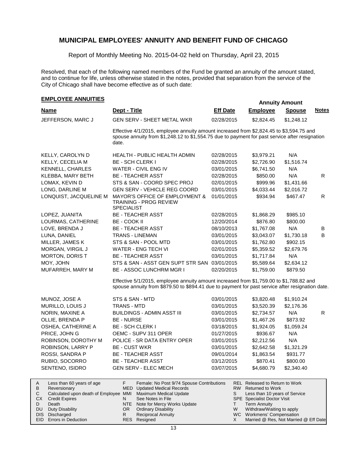Report of Monthly Meeting No. 2015-04-02 held on Thursday, April 23, 2015

Resolved, that each of the following named members of the Fund be granted an annuity of the amount stated, and to continue for life, unless otherwise stated in the notes, provided that separation from the service of the City of Chicago shall have become effective as of such date:

### **EMPLOYEE ANNUITIES**

A

|                           |                                                                                                                                                                                                    |                 |                                       | Annuny Amount |              |
|---------------------------|----------------------------------------------------------------------------------------------------------------------------------------------------------------------------------------------------|-----------------|---------------------------------------|---------------|--------------|
| <b>Name</b>               | Dept - Title                                                                                                                                                                                       | <b>Eff Date</b> | <b>Employee</b>                       | <b>Spouse</b> | <b>Notes</b> |
| JEFFERSON, MARC J         | <b>GEN SERV - SHEET METAL WKR</b>                                                                                                                                                                  | 02/28/2015      | \$2,824.45                            | \$1,248.12    |              |
|                           | Effective 4/1/2015, employee annuity amount increased from \$2,824.45 to \$3,594.75 and<br>spouse annuity from \$1,248.12 to \$1,554.75 due to payment for past service after resignation<br>date. |                 |                                       |               |              |
| KELLY, CAROLYN D          | <b>HEALTH - PUBLIC HEALTH ADMIN</b>                                                                                                                                                                | 02/28/2015      | \$3,979.21                            | N/A           |              |
| KELLY, CECELIA M          | <b>BE - SCH CLERK I</b>                                                                                                                                                                            | 02/28/2015      | \$2,726.90                            | \$1,516.74    |              |
| KENNELL, CHARLES          | WATER - CIVIL ENG IV                                                                                                                                                                               | 03/01/2015      | \$6,741.50                            | N/A           |              |
| KLEBBA, MARY BETH         | <b>BE - TEACHER ASST</b>                                                                                                                                                                           | 02/28/2015      | \$850.00                              | N/A           | $\mathsf{R}$ |
| LOMAX, KEVIN D            | STS & SAN - COORD SPEC PROJ                                                                                                                                                                        | 02/01/2015      | \$999.96                              | \$1,431.66    |              |
| LONG, DARLINE M           | GEN SERV - VEHICLE REG COORD                                                                                                                                                                       | 03/01/2015      | \$4,033.44                            | \$2,016.72    |              |
| LONQUIST, JACQUELINE M    | MAYOR'S OFFICE OF EMPLOYMENT &<br>TRAINING - PROG REVIEW<br><b>SPECIALIST</b>                                                                                                                      | 01/01/2015      | \$934.94                              | \$467.47      | R            |
| LOPEZ, JUANITA            | <b>BE - TEACHER ASST</b>                                                                                                                                                                           | 02/28/2015      | \$1,868.29                            | \$985.10      |              |
| LOURMAS, CATHERINE        | BE - COOK II                                                                                                                                                                                       | 12/20/2014      | \$876.80                              | \$800.00      |              |
| LOVE, BRENDA J            | <b>BE - TEACHER ASST</b>                                                                                                                                                                           | 08/10/2013      | \$1,767.08                            | N/A           | В            |
| LUNA, DANIEL              | <b>TRANS - LINEMAN</b>                                                                                                                                                                             | 03/01/2015      | \$3,043.07                            | \$1,730.18    | B            |
| MILLER, JAMES K           | STS & SAN - POOL MTD                                                                                                                                                                               | 03/01/2015      | \$1,762.80                            | \$902.15      |              |
| <b>MORGAN, VIRGIL J</b>   | WATER - ENG TECH VI                                                                                                                                                                                | 02/01/2015      | \$5,359.52                            | \$2,679.76    |              |
| MORTON, DORIS T           | <b>BE - TEACHER ASST</b>                                                                                                                                                                           | 03/01/2015      | \$1,717.84                            | N/A           |              |
| MOY, JOHN                 | STS & SAN - ASST GEN SUPT STR SAN 03/01/2015                                                                                                                                                       |                 | \$5,589.64                            | \$2,634.12    |              |
| MUFARREH, MARY M          | <b>BE - ASSOC LUNCHRM MGR I</b>                                                                                                                                                                    | 02/20/2015      | \$1,759.00                            | \$879.50      |              |
|                           | Effective 5/1/2015, employee annuity amount increased from \$1,759.00 to \$1,788.82 and<br>spouse annuity from \$879.50 to \$894.41 due to payment for past service after resignation date.        |                 |                                       |               |              |
| MUNOZ, JOSE A             | STS & SAN - MTD                                                                                                                                                                                    | 03/01/2015      | \$3,820.48                            | \$1,910.24    |              |
| MURILLO, LOUIS J          | TRANS - MTD                                                                                                                                                                                        | 03/01/2015      | \$3,520.39                            | \$2,176.36    |              |
| NORIN, MAXINE A           | <b>BUILDINGS - ADMIN ASST III</b>                                                                                                                                                                  | 03/01/2015      | \$2,734.57                            | N/A           | R            |
| OLLIE, BRENDA P           | <b>BE-NURSE</b>                                                                                                                                                                                    | 03/01/2015      | \$1,467.26                            | \$873.92      |              |
| OSHEA, CATHERINE A        | <b>BE - SCH CLERK I</b>                                                                                                                                                                            | 03/18/2015      | \$1,924.05                            | \$1,059.24    |              |
| PRICE, JOHN G             | OEMC - SUPV 311 OPER                                                                                                                                                                               | 01/27/2015      | \$936.67                              | N/A           |              |
| ROBINSON, DOROTHY M       | POLICE - SR DATA ENTRY OPER                                                                                                                                                                        | 03/01/2015      | \$2,212.56                            | N/A           |              |
| ROBINSON, LARRY P         | <b>BE - CUST WKR</b>                                                                                                                                                                               | 03/01/2015      | \$2,642.58                            | \$1,321.29    |              |
| ROSSI, SANDRA P           | <b>BE - TEACHER ASST</b>                                                                                                                                                                           | 09/01/2014      | \$1,863.54                            | \$931.77      |              |
| RUBIO, SOCORRO            | <b>BE - TEACHER ASST</b>                                                                                                                                                                           | 03/12/2015      | \$870.41                              | \$800.00      |              |
| SENTENO, ISIDRO           | <b>GEN SERV - ELEC MECH</b>                                                                                                                                                                        | 03/07/2015      | \$4,680.79                            | \$2,340.40    |              |
| Less than 60 years of age | F.<br>Female: No Post 9/74 Spouse Contributions                                                                                                                                                    |                 | <b>REL Released to Return to Work</b> |               |              |

| $\overline{\phantom{a}}$ | Ecoo than oo yours or ago                                    |     |                                 |   | INLE INCREASED TO INSTALL TO A FOIR   |
|--------------------------|--------------------------------------------------------------|-----|---------------------------------|---|---------------------------------------|
| B                        | Reversionary                                                 |     | MED Updated Medical Records     |   | RW Returned to Work                   |
|                          | Calculated upon death of Employee MMI Maximum Medical Update |     |                                 |   | Less than 10 years of Service         |
|                          | <b>CX</b> Credit Expires                                     |     | See Notes in File               |   | <b>SPE</b> Specialist Doctor Visit    |
|                          | Death                                                        |     | NTE Note for Mercy Works Update |   | Term Annuity                          |
|                          | DU Duty Disability                                           | OR. | <b>Ordinary Disability</b>      | W | Withdraw/Waiting to apply             |
|                          | DIS Discharged                                               |     | <b>Reciprocal Annuity</b>       |   | WC Workmens' Compensation             |
|                          | EID Errors in Deduction                                      |     | RES Resigned                    |   | Married @ Res, Not Married @ Eff Date |
|                          |                                                              |     |                                 |   |                                       |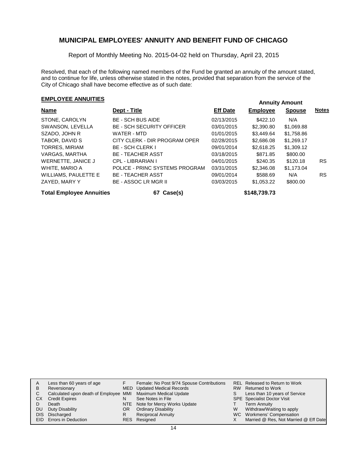Report of Monthly Meeting No. 2015-04-02 held on Thursday, April 23, 2015

Resolved, that each of the following named members of the Fund be granted an annuity of the amount stated, and to continue for life, unless otherwise stated in the notes, provided that separation from the service of the City of Chicago shall have become effective as of such date:

# **EMPLOYEE ANNUITIES EMPLOYEE ANNUITIES**

| Name                            | Dept - Title                     | <b>Eff Date</b> | <b>Employee</b> | <b>Spouse</b> | <b>Notes</b> |
|---------------------------------|----------------------------------|-----------------|-----------------|---------------|--------------|
| STONE, CAROLYN                  | <b>BE - SCH BUS AIDE</b>         | 02/13/2015      | \$422.10        | N/A           |              |
| SWANSON, LEVELLA                | <b>BE - SCH SECURITY OFFICER</b> | 03/01/2015      | \$2,390.80      | \$1,069.88    |              |
| SZADO, JOHN R                   | WATER - MTD                      | 01/01/2015      | \$3,449.64      | \$1,758.86    |              |
| TABOR, DAVID S                  | CITY CLERK - DIR PROGRAM OPER    | 02/28/2015      | \$2,686,08      | \$1.269.17    |              |
| <b>TORRES, MIRIAM</b>           | <b>BE - SCH CLERK I</b>          | 09/01/2014      | \$2,618.25      | \$1,309.12    |              |
| VARGAS, MARTHA                  | <b>BE - TEACHER ASST</b>         | 03/18/2015      | \$871.85        | \$800.00      |              |
| WERNETTE, JANICE J              | CPL - LIBRARIAN I                | 04/01/2015      | \$240.35        | \$120.18      | RS.          |
| WHITE, MARIO A                  | POLICE - PRINC SYSTEMS PROGRAM   | 03/31/2015      | \$2,346.08      | \$1,173.04    |              |
| WILLIAMS, PAULETTE E            | <b>BE - TEACHER ASST</b>         | 09/01/2014      | \$588.69        | N/A           | RS.          |
| ZAYED, MARY Y                   | <b>BE - ASSOC LR MGR II</b>      | 03/03/2015      | \$1,053.22      | \$800.00      |              |
| <b>Total Employee Annuities</b> | 67 Case(s)                       |                 | \$148,739.73    |               |              |

| A    | Less than 60 years of age                                    |     | Female: No Post 9/74 Spouse Contributions |    | REL Released to Return to Work        |
|------|--------------------------------------------------------------|-----|-------------------------------------------|----|---------------------------------------|
| В    | Reversionary                                                 |     | MED Updated Medical Records               |    | RW Returned to Work                   |
|      | Calculated upon death of Employee MMI Maximum Medical Update |     |                                           | S. | Less than 10 years of Service         |
| CХ   | <b>Credit Expires</b>                                        | N   | See Notes in File                         |    | <b>SPE</b> Specialist Doctor Visit    |
|      | Death                                                        |     | NTE Note for Mercy Works Update           |    | <b>Term Annuity</b>                   |
| DU   | Duty Disability                                              | OR. | <b>Ordinary Disability</b>                | W  | Withdraw/Waiting to apply             |
| DIS. | Discharged                                                   |     | <b>Reciprocal Annuity</b>                 |    | WC Workmens' Compensation             |
|      | <b>EID</b> Errors in Deduction                               |     | RES Resigned                              |    | Married @ Res, Not Married @ Eff Date |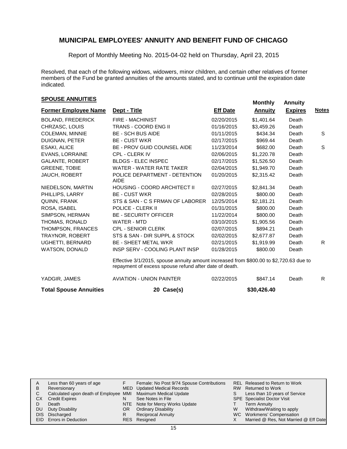Report of Monthly Meeting No. 2015-04-02 held on Thursday, April 23, 2015

Resolved, that each of the following widows, widowers, minor children, and certain other relatives of former members of the Fund be granted annuities of the amounts stated, and to continue until the expiration date indicated.

# **SPOUSE ANNUITIES**<br> **SPOUSE ANNUITIES**

| <b>Former Employee Name</b> | Dept - Title                                                                                                                                     | <b>Eff Date</b> | <b>Annuity</b> | <b>Expires</b> | <b>Notes</b> |
|-----------------------------|--------------------------------------------------------------------------------------------------------------------------------------------------|-----------------|----------------|----------------|--------------|
| <b>BOLAND, FREDERICK</b>    | <b>FIRE - MACHINIST</b>                                                                                                                          | 02/20/2015      | \$1,401.64     | Death          |              |
| CHRZASC, LOUIS              | <b>TRANS - COORD ENG II</b>                                                                                                                      | 01/16/2015      | \$3,459.26     | Death          |              |
| <b>COLEMAN, MINNIE</b>      | <b>BE - SCH BUS AIDE</b>                                                                                                                         | 01/11/2015      | \$434.34       | Death          | S            |
| <b>DUIGNAN, PETER</b>       | <b>BE - CUST WKR</b>                                                                                                                             | 02/17/2015      | \$969.44       | Death          |              |
| <b>ESAKI, ALICE</b>         | <b>BE - PROV GUID COUNSEL AIDE</b>                                                                                                               | 11/23/2014      | \$682.00       | Death          | S            |
| <b>EVANS, LORRAINE</b>      | CPL - CLERK IV                                                                                                                                   | 02/06/2015      | \$1,220.78     | Death          |              |
| <b>GALANTE, ROBERT</b>      | <b>BLDGS - ELEC INSPEC</b>                                                                                                                       | 02/17/2015      | \$1,526.50     | Death          |              |
| <b>GREENE, TOBIE</b>        | WATER - WATER RATE TAKER                                                                                                                         | 02/04/2015      | \$1.949.70     | Death          |              |
| JAUCH, ROBERT               | POLICE DEPARTMENT - DETENTION<br><b>AIDE</b>                                                                                                     | 01/20/2015      | \$2.315.42     | Death          |              |
| NIEDELSON, MARTIN           | HOUSING - COORD ARCHITECT II                                                                                                                     | 02/27/2015      | \$2,841.34     | Death          |              |
| PHILLIPS, LARRY             | <b>BE - CUST WKR</b>                                                                                                                             | 02/28/2015      | \$800.00       | Death          |              |
| QUINN, FRANK                | STS & SAN - C S FRMAN OF LABORER                                                                                                                 | 12/25/2014      | \$2,181.21     | Death          |              |
| ROSA, ISABEL                | POLICE - CLERK II                                                                                                                                | 01/31/2015      | \$800.00       | Death          |              |
| SIMPSON, HERMAN             | <b>BE - SECURITY OFFICER</b>                                                                                                                     | 11/22/2014      | \$800.00       | Death          |              |
| <b>THOMAS, RONALD</b>       | WATER - MTD                                                                                                                                      | 03/10/2015      | \$1,905.56     | Death          |              |
| THOMPSON, FRANCES           | <b>CPL - SENIOR CLERK</b>                                                                                                                        | 02/07/2015      | \$894.21       | Death          |              |
| TRAYNOR, ROBERT             | STS & SAN - DIR SUPPL & STOCK                                                                                                                    | 02/02/2015      | \$2,677.87     | Death          |              |
| UGHETTI, BERNARD            | <b>BE - SHEET METAL WKR</b>                                                                                                                      | 02/21/2015      | \$1.919.99     | Death          | R.           |
| WATSON, DONALD              | INSP SERV - COOLING PLANT INSP                                                                                                                   | 01/28/2015      | \$800.00       | Death          |              |
|                             | Effective 3/1/2015, spouse annuity amount increased from \$800.00 to \$2,720.63 due to<br>repayment of excess spouse refund after date of death. |                 |                |                |              |
| YADGIR, JAMES               | <b>AVIATION - UNION PAINTER</b>                                                                                                                  | 02/22/2015      | \$847.14       | Death          | R            |
|                             |                                                                                                                                                  |                 |                |                |              |

| <b>Total Spouse Annuities</b> | 20 Case(s) | \$30,426.40 |
|-------------------------------|------------|-------------|
|                               |            |             |

| Less than 60 years of age |                                                        | Female: No Post 9/74 Spouse Contributions |                                                                                                                                                                              | REL Released to Return to Work        |
|---------------------------|--------------------------------------------------------|-------------------------------------------|------------------------------------------------------------------------------------------------------------------------------------------------------------------------------|---------------------------------------|
| Reversionary              |                                                        |                                           |                                                                                                                                                                              | RW Returned to Work                   |
|                           |                                                        |                                           | S.                                                                                                                                                                           | Less than 10 years of Service         |
| <b>Credit Expires</b>     | N                                                      | See Notes in File                         |                                                                                                                                                                              | <b>SPE</b> Specialist Doctor Visit    |
| Death                     |                                                        |                                           |                                                                                                                                                                              | Term Annuity                          |
| Duty Disability           | OR.                                                    |                                           | W                                                                                                                                                                            | Withdraw/Waiting to apply             |
|                           | R                                                      | <b>Reciprocal Annuity</b>                 |                                                                                                                                                                              | WC Workmens' Compensation             |
|                           |                                                        |                                           |                                                                                                                                                                              | Married @ Res, Not Married @ Eff Date |
| CХ                        | DU<br>DIS Discharged<br><b>EID</b> Errors in Deduction |                                           | MED Updated Medical Records<br>Calculated upon death of Employee MMI Maximum Medical Update<br>NTE Note for Mercy Works Update<br><b>Ordinary Disability</b><br>RES Resigned |                                       |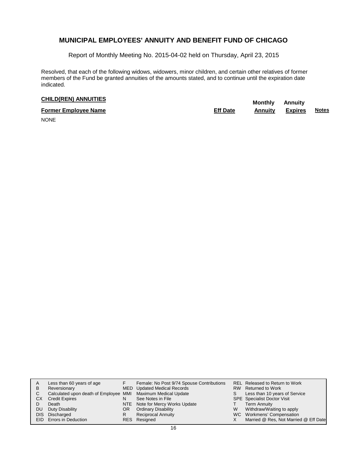Report of Monthly Meeting No. 2015-04-02 held on Thursday, April 23, 2015

Resolved, that each of the following widows, widowers, minor children, and certain other relatives of former members of the Fund be granted annuities of the amounts stated, and to continue until the expiration date indicated.

# **CHILD(REN) ANNUITIES Monthly** Annuity

| <b>Former Employee Name</b> | <b>Eff Date</b> | Annuity | <b>Expires</b> | Notes |
|-----------------------------|-----------------|---------|----------------|-------|
| $\cdots$                    |                 |         |                |       |

NONE

| в<br>С<br>CХ<br>DU<br>DIS. | Less than 60 years of age<br>Reversionary<br>Calculated upon death of Employee MMI Maximum Medical Update<br><b>Credit Expires</b><br>Death<br>Duty Disability<br>Discharged<br>EID Errors in Deduction | N<br>OR<br>R | Female: No Post 9/74 Spouse Contributions<br>MED Updated Medical Records<br>See Notes in File<br>NTE Note for Mercy Works Update<br><b>Ordinary Disability</b><br><b>Reciprocal Annuity</b><br>RES Resigned | S.<br>W | REL Released to Return to Work<br>RW Returned to Work<br>Less than 10 years of Service<br><b>SPE</b> Specialist Doctor Visit<br><b>Term Annuity</b><br>Withdraw/Waiting to apply<br>WC Workmens' Compensation<br>Married @ Res, Not Married @ Eff Date |
|----------------------------|---------------------------------------------------------------------------------------------------------------------------------------------------------------------------------------------------------|--------------|-------------------------------------------------------------------------------------------------------------------------------------------------------------------------------------------------------------|---------|--------------------------------------------------------------------------------------------------------------------------------------------------------------------------------------------------------------------------------------------------------|
|----------------------------|---------------------------------------------------------------------------------------------------------------------------------------------------------------------------------------------------------|--------------|-------------------------------------------------------------------------------------------------------------------------------------------------------------------------------------------------------------|---------|--------------------------------------------------------------------------------------------------------------------------------------------------------------------------------------------------------------------------------------------------------|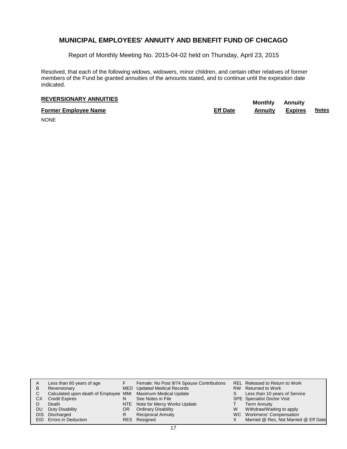Report of Monthly Meeting No. 2015-04-02 held on Thursday, April 23, 2015

Resolved, that each of the following widows, widowers, minor children, and certain other relatives of former members of the Fund be granted annuities of the amounts stated, and to continue until the expiration date indicated.

# **REVERSIONARY ANNUITIES**<br> **REVERSIONARY ANNUITIES**

**Former Employee Name Eff Date Annuity Expires Notes**

NONE

| A   | Less than 60 years of age                                    |     | Female: No Post 9/74 Spouse Contributions |   | <b>REL Released to Return to Work</b> |
|-----|--------------------------------------------------------------|-----|-------------------------------------------|---|---------------------------------------|
| в   | Reversionary                                                 |     | MED Updated Medical Records               |   | RW Returned to Work                   |
| С   | Calculated upon death of Employee MMI Maximum Medical Update |     |                                           | S | Less than 10 years of Service         |
| CХ  | <b>Credit Expires</b>                                        | N   | See Notes in File                         |   | <b>SPE</b> Specialist Doctor Visit    |
|     | Death                                                        |     | NTE Note for Mercy Works Update           |   | <b>Term Annuity</b>                   |
| DU  | Duty Disability                                              | OR. | <b>Ordinary Disability</b>                | W | Withdraw/Waiting to apply             |
| DIS | Discharged                                                   | R   | <b>Reciprocal Annuity</b>                 |   | WC Workmens' Compensation             |
|     | EID Errors in Deduction                                      |     | RES Resigned                              |   | Married @ Res, Not Married @ Eff Date |
|     |                                                              |     |                                           |   |                                       |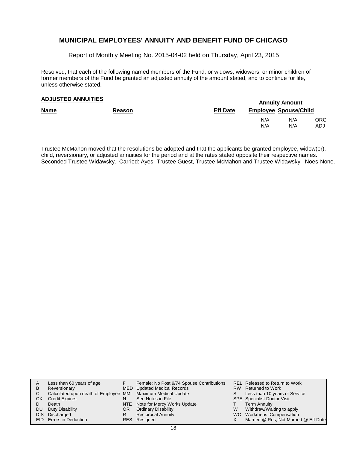Report of Monthly Meeting No. 2015-04-02 held on Thursday, April 23, 2015

Resolved, that each of the following named members of the Fund, or widows, widowers, or minor children of former members of the Fund be granted an adjusted annuity of the amount stated, and to continue for life, unless otherwise stated.

## **Annuity Amount ADJUSTED ANNUITIES**

|             |               |                 | 1.411.41.477.411.441.4       |            |             |  |  |  |
|-------------|---------------|-----------------|------------------------------|------------|-------------|--|--|--|
| <b>Name</b> | <b>Reason</b> | <b>Eff Date</b> | <b>Employee Spouse/Child</b> |            |             |  |  |  |
|             |               |                 | N/A<br>N/A                   | N/A<br>N/A | ORG.<br>ADJ |  |  |  |
|             |               |                 |                              |            |             |  |  |  |

Trustee McMahon moved that the resolutions be adopted and that the applicants be granted employee, widow(er), child, reversionary, or adjusted annuities for the period and at the rates stated opposite their respective names. Seconded Trustee Widawsky. Carried: Ayes- Trustee Guest, Trustee McMahon and Trustee Widawsky. Noes-None.

| A  | Less than 60 years of age                                    |    | Female: No Post 9/74 Spouse Contributions |    | REL Released to Return to Work        |
|----|--------------------------------------------------------------|----|-------------------------------------------|----|---------------------------------------|
| в  | Reversionary                                                 |    | MED Updated Medical Records               |    | RW Returned to Work                   |
| C. | Calculated upon death of Employee MMI Maximum Medical Update |    |                                           | S. | Less than 10 years of Service         |
| CХ | <b>Credit Expires</b>                                        | N  | See Notes in File                         |    | <b>SPE</b> Specialist Doctor Visit    |
|    | Death                                                        |    | NTE Note for Mercy Works Update           |    | <b>Term Annuity</b>                   |
| DU | Duty Disability                                              | OR | <b>Ordinary Disability</b>                | W  | Withdraw/Waiting to apply             |
|    | DIS Discharged                                               | R  | <b>Reciprocal Annuity</b>                 |    | WC Workmens' Compensation             |
|    | EID Errors in Deduction                                      |    | RES Resigned                              |    | Married @ Res, Not Married @ Eff Date |
|    |                                                              |    |                                           |    |                                       |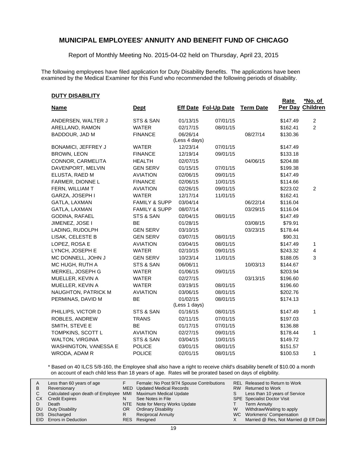Report of Monthly Meeting No. 2015-04-02 held on Thursday, April 23, 2015

The following employees have filed application for Duty Disability Benefits. The applications have been examined by the Medical Examiner for this Fund who recommended the following periods of disability.

#### **DUTY DISABILITY**

|                            |                          |               |                             |                  | Rate     | <u>*No. of</u>   |
|----------------------------|--------------------------|---------------|-----------------------------|------------------|----------|------------------|
| <b>Name</b>                | <u>Dept</u>              |               | <b>Eff Date Fol-Up Date</b> | <b>Term Date</b> |          | Per Day Children |
| ANDERSEN, WALTER J         | STS & SAN                | 01/13/15      | 07/01/15                    |                  | \$147.49 | $\overline{c}$   |
| ARELLANO, RAMON            | <b>WATER</b>             | 02/17/15      | 08/01/15                    |                  | \$162.41 | $\overline{2}$   |
| BADDOUR, JAD M             | <b>FINANCE</b>           | 06/26/14      |                             | 08/27/14         | \$130.36 |                  |
|                            |                          | (Less 4 days) |                             |                  |          |                  |
| <b>BONAMICI, JEFFREY J</b> | <b>WATER</b>             | 12/23/14      | 07/01/15                    |                  | \$147.49 |                  |
| <b>BROWN, LEON</b>         | <b>FINANCE</b>           | 12/19/14      | 09/01/15                    |                  | \$133.18 |                  |
| CONNOR, CARMELITA          | <b>HEALTH</b>            | 02/07/15      |                             | 04/06/15         | \$204.88 |                  |
| DAVENPORT, MELVIN          | <b>GEN SERV</b>          | 01/15/15      | 07/01/15                    |                  | \$199.38 |                  |
| ELUSTA, RAED M             | <b>AVIATION</b>          | 02/06/15      | 09/01/15                    |                  | \$147.49 |                  |
| FARMER, DIONNE L           | <b>FINANCE</b>           | 02/06/15      | 10/01/15                    |                  | \$114.66 |                  |
| FERN, WILLIAM T            | <b>AVIATION</b>          | 02/26/15      | 09/01/15                    |                  | \$223.02 | 2                |
| GARZA, JOSEPH I            | <b>WATER</b>             | 12/17/14      | 11/01/15                    |                  | \$162.41 |                  |
| GATLA, LAXMAN              | <b>FAMILY &amp; SUPP</b> | 03/04/14      |                             | 06/22/14         | \$116.04 |                  |
| GATLA, LAXMAN              | <b>FAMILY &amp; SUPP</b> | 08/07/14      |                             | 03/29/15         | \$116.04 |                  |
| GODINA, RAFAEL             | STS & SAN                | 02/04/15      | 08/01/15                    |                  | \$147.49 |                  |
| JIMENEZ, JOSE I            | BE                       | 01/28/15      |                             | 03/08/15         | \$79.91  |                  |
| LADING, RUDOLPH            | <b>GEN SERV</b>          | 03/10/15      |                             | 03/23/15         | \$178.44 |                  |
| LISAK, CELESTE B           | <b>GEN SERV</b>          | 03/07/15      | 08/01/15                    |                  | \$90.31  |                  |
| LOPEZ, ROSA E              | <b>AVIATION</b>          | 03/04/15      | 08/01/15                    |                  | \$147.49 | 1                |
| LYNCH, JOSEPH E            | <b>WATER</b>             | 02/10/15      | 09/01/15                    |                  | \$243.32 | 4                |
| MC DONNELL, JOHN J         | <b>GEN SERV</b>          | 10/23/14      | 11/01/15                    |                  | \$188.05 | 3                |
| MC HUGH, RUTH A            | STS & SAN                | 06/06/11      |                             | 10/03/13         | \$144.67 |                  |
| MERKEL, JOSEPH G           | <b>WATER</b>             | 01/06/15      | 09/01/15                    |                  | \$203.94 |                  |
| MUELLER, KEVIN A           | <b>WATER</b>             | 02/27/15      |                             | 03/13/15         | \$196.60 |                  |
| MUELLER, KEVIN A           | <b>WATER</b>             | 03/19/15      | 08/01/15                    |                  | \$196.60 |                  |
| NAUGHTON, PATRICK M        | <b>AVIATION</b>          | 03/06/15      | 08/01/15                    |                  | \$202.76 |                  |
| PERMINAS, DAVID M          | BE                       | 01/02/15      | 08/01/15                    |                  | \$174.13 |                  |
|                            |                          | (Less 1 days) |                             |                  |          |                  |
| PHILLIPS, VICTOR D         | STS & SAN                | 01/16/15      | 08/01/15                    |                  | \$147.49 | 1                |
| ROBLES, ANDREW             | <b>TRANS</b>             | 02/11/15      | 07/01/15                    |                  | \$197.03 |                  |
| SMITH, STEVE E             | <b>BE</b>                | 01/17/15      | 07/01/15                    |                  | \$136.88 |                  |
| TOMPKINS, SCOTT L          | <b>AVIATION</b>          | 02/27/15      | 09/01/15                    |                  | \$178.44 | 1                |
| <b>WALTON, VIRGINIA</b>    | STS & SAN                | 03/04/15      | 10/01/15                    |                  | \$149.72 |                  |
| WASHINGTON, VANESSA E      | <b>POLICE</b>            | 03/01/15      | 08/01/15                    |                  | \$151.57 |                  |
| WRODA, ADAM R              | <b>POLICE</b>            | 02/01/15      | 08/01/15                    |                  | \$100.53 | 1                |

\* Based on 40 ILCS 5/8-160, the Employee shall also have a right to receive child's disability benefit of \$10.00 a month on account of each child less than 18 years of age. Rates will be prorated based on days of eligibility.

| A    | Less than 60 years of age                                    |     | Female: No Post 9/74 Spouse Contributions |    | REL Released to Return to Work        |
|------|--------------------------------------------------------------|-----|-------------------------------------------|----|---------------------------------------|
| в    | Reversionary                                                 |     | MED Updated Medical Records               |    | RW Returned to Work                   |
|      | Calculated upon death of Employee MMI Maximum Medical Update |     |                                           | S. | Less than 10 years of Service         |
| СX   | <b>Credit Expires</b>                                        | N   | See Notes in File                         |    | <b>SPE</b> Specialist Doctor Visit    |
|      | Death                                                        |     | NTE Note for Mercy Works Update           |    | <b>Term Annuity</b>                   |
| DU   | Duty Disability                                              | OR. | <b>Ordinary Disability</b>                | W  | Withdraw/Waiting to apply             |
| DIS. | Discharged                                                   |     | <b>Reciprocal Annuity</b>                 |    | WC Workmens' Compensation             |
|      | EID Errors in Deduction                                      |     | RES Resigned                              |    | Married @ Res, Not Married @ Eff Date |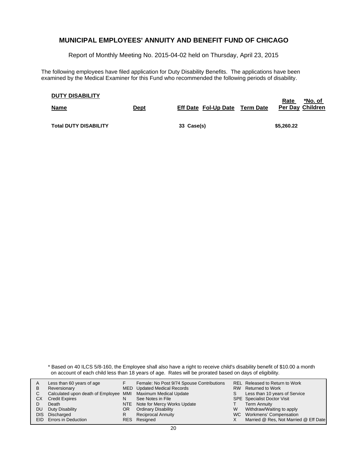Report of Monthly Meeting No. 2015-04-02 held on Thursday, April 23, 2015

The following employees have filed application for Duty Disability Benefits. The applications have been examined by the Medical Examiner for this Fund who recommended the following periods of disability.

| <b>DUTY DISABILITY</b>       |             |                                       | *No. of<br>Rate         |
|------------------------------|-------------|---------------------------------------|-------------------------|
| <b>Name</b>                  | <u>Dept</u> | <b>Eff Date Fol-Up Date Term Date</b> | <b>Per Day Children</b> |
|                              |             |                                       |                         |
| <b>Total DUTY DISABILITY</b> |             | 33 Case(s)                            | \$5,260.22              |

\* Based on 40 ILCS 5/8-160, the Employee shall also have a right to receive child's disability benefit of \$10.00 a month on account of each child less than 18 years of age. Rates will be prorated based on days of eligibility.

| A    | Less than 60 years of age                                    |     | Female: No Post 9/74 Spouse Contributions |    | REL Released to Return to Work        |
|------|--------------------------------------------------------------|-----|-------------------------------------------|----|---------------------------------------|
| в    | Reversionary                                                 |     | MED Updated Medical Records               |    | RW Returned to Work                   |
|      | Calculated upon death of Employee MMI Maximum Medical Update |     |                                           | S. | Less than 10 years of Service         |
| СX   | <b>Credit Expires</b>                                        | N   | See Notes in File                         |    | <b>SPE</b> Specialist Doctor Visit    |
|      | Death                                                        |     | NTE Note for Mercy Works Update           |    | <b>Term Annuity</b>                   |
| DU   | Duty Disability                                              | OR. | <b>Ordinary Disability</b>                | W  | Withdraw/Waiting to apply             |
| DIS. | Discharged                                                   |     | <b>Reciprocal Annuity</b>                 |    | WC Workmens' Compensation             |
|      | EID Errors in Deduction                                      |     | RES Resigned                              |    | Married @ Res, Not Married @ Eff Date |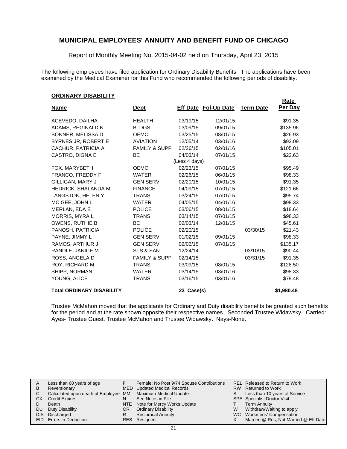Report of Monthly Meeting No. 2015-04-02 held on Thursday, April 23, 2015

The following employees have filed application for Ordinary Disability Benefits. The applications have been examined by the Medical Examiner for this Fund who recommended the following periods of disability.

#### **ORDINARY DISABILITY**

|                                  |                          |               |                             |                  | Rate       |
|----------------------------------|--------------------------|---------------|-----------------------------|------------------|------------|
| <u>Name</u>                      | <u>Dept</u>              |               | <b>Eff Date Fol-Up Date</b> | <b>Term Date</b> | Per Day    |
| ACEVEDO, DAILHA                  | <b>HEALTH</b>            | 03/19/15      | 12/01/15                    |                  | \$91.35    |
| ADAMS, REGINALD K                | <b>BLDGS</b>             | 03/09/15      | 09/01/15                    |                  | \$135.96   |
| BONNER, MELISSA D                | <b>OEMC</b>              | 03/25/15      | 08/01/15                    |                  | \$26.93    |
| BYRNES JR, ROBERT E              | <b>AVIATION</b>          | 12/05/14      | 03/01/16                    |                  | \$92.09    |
| CACHUR, PATRICIA A               | <b>FAMILY &amp; SUPP</b> | 02/26/15      | 02/01/16                    |                  | \$105.01   |
| CASTRO, DIGNA E                  | <b>BE</b>                | 04/03/14      | 07/01/15                    |                  | \$22.63    |
|                                  |                          | (Less 4 days) |                             |                  |            |
| FOX, MARYBETH                    | <b>OEMC</b>              | 02/23/15      | 07/01/15                    |                  | \$95.49    |
| FRANCO, FREDDY F                 | <b>WATER</b>             | 02/26/15      | 06/01/15                    |                  | \$98.33    |
| GILLIGAN, MARY J                 | <b>GEN SERV</b>          | 02/20/15      | 10/01/15                    |                  | \$91.35    |
| <b>HEDRICK, SHALANDA M</b>       | <b>FINANCE</b>           | 04/09/15      | 07/01/15                    |                  | \$121.66   |
| LANGSTON, HELEN Y                | <b>TRANS</b>             | 03/24/15      | 07/01/15                    |                  | \$95.74    |
| MC GEE, JOHN L                   | <b>WATER</b>             | 04/05/15      | 04/01/16                    |                  | \$98.33    |
| MERLAN, EDA E                    | <b>POLICE</b>            | 03/06/15      | 08/01/15                    |                  | \$18.64    |
| MORRIS, MYRA L                   | <b>TRANS</b>             | 03/14/15      | 07/01/15                    |                  | \$98.33    |
| <b>OWENS, RUTHIE B</b>           | <b>BE</b>                | 02/03/14      | 12/01/15                    |                  | \$45.61    |
| PANOSH, PATRICIA                 | <b>POLICE</b>            | 02/20/15      |                             | 03/30/15         | \$21.43    |
| PAYNE, JIMMY L                   | <b>GEN SERV</b>          | 01/02/15      | 09/01/15                    |                  | \$98.33    |
| RAMOS, ARTHUR J                  | <b>GEN SERV</b>          | 02/06/15      | 07/01/15                    |                  | \$135.17   |
| RANDLE, JANICE M                 | STS & SAN                | 12/24/14      |                             | 03/10/15         | \$90.44    |
| ROSS, ANGELA D                   | <b>FAMILY &amp; SUPP</b> | 02/14/15      |                             | 03/31/15         | \$91.35    |
| ROY, RICHARD M                   | <b>TRANS</b>             | 03/09/15      | 08/01/15                    |                  | \$128.50   |
| SHIPP, NORMAN                    | <b>WATER</b>             | 03/14/15      | 03/01/16                    |                  | \$98.33    |
| YOUNG, ALICE                     | <b>TRANS</b>             | 03/16/15      | 03/01/16                    |                  | \$79.48    |
| <b>Total ORDINARY DISABILITY</b> |                          | 23 Case(s)    |                             |                  | \$1,980.48 |

Trustee McMahon moved that the applicants for Ordinary and Duty disability benefits be granted such benefits for the period and at the rate shown opposite their respective names. Seconded Trustee Widawsky. Carried: Ayes- Trustee Guest, Trustee McMahon and Trustee Widawsky. Nays-None.

| A   | Less than 60 years of age                                    |     | Female: No Post 9/74 Spouse Contributions |    | REL Released to Return to Work        |
|-----|--------------------------------------------------------------|-----|-------------------------------------------|----|---------------------------------------|
| в   | Reversionary                                                 |     | MED Updated Medical Records               |    | RW Returned to Work                   |
| C.  | Calculated upon death of Employee MMI Maximum Medical Update |     |                                           | S. | Less than 10 years of Service         |
| CХ  | <b>Credit Expires</b>                                        | N   | See Notes in File                         |    | <b>SPE</b> Specialist Doctor Visit    |
|     | Death                                                        |     | NTE Note for Mercy Works Update           |    | <b>Term Annuity</b>                   |
| DU. | Duty Disability                                              | OR. | <b>Ordinary Disability</b>                | W  | Withdraw/Waiting to apply             |
|     | DIS Discharged                                               |     | <b>Reciprocal Annuity</b>                 |    | WC Workmens' Compensation             |
|     | EID Errors in Deduction                                      |     | RES Resigned                              |    | Married @ Res, Not Married @ Eff Date |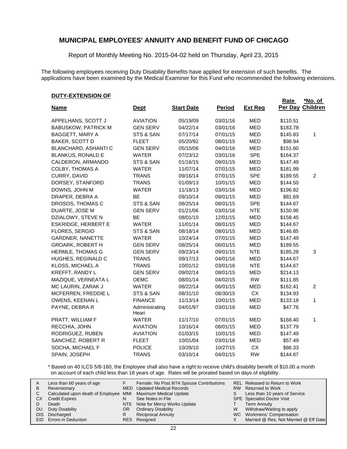Report of Monthly Meeting No. 2015-04-02 held on Thursday, April 23, 2015

The following employees receiving Duty Disability Benefits have applied for extension of such benefits. The applications have been examined by the Medical Examiner for this Fund who recommended the following extensions.

**Rate** 

#### **DUTY-EXTENSION OF**

|                            |                         |                   |               |                | <b>Rate</b> | *No. of          |
|----------------------------|-------------------------|-------------------|---------------|----------------|-------------|------------------|
| <b>Name</b>                | <b>Dept</b>             | <b>Start Date</b> | <b>Period</b> | <b>Ext Reg</b> |             | Per Day Children |
| APPELHANS, SCOTT J         | <b>AVIATION</b>         | 05/19/09          | 03/01/16      | <b>MED</b>     | \$110.51    |                  |
| <b>BABUSKOW, PATRICK M</b> | <b>GEN SERV</b>         | 04/22/14          | 03/01/16      | <b>MED</b>     | \$183.78    |                  |
| BAGGETT, MARY A            | STS & SAN               | 07/17/14          | 07/01/15      | <b>MED</b>     | \$145.83    | 1                |
| <b>BAKER, SCOTT D</b>      | <b>FLEET</b>            | 05/20/92          | 08/01/15      | <b>MED</b>     | \$98.94     |                  |
| BLANCHARD, ASHANTI C       | <b>GEN SERV</b>         | 05/10/06          | 04/01/16      | <b>MED</b>     | \$151.60    |                  |
| <b>BLANKUS, RONALD E</b>   | <b>WATER</b>            | 07/23/12          | 03/01/16      | <b>SPE</b>     | \$164.37    |                  |
| CALDERON, ARMANDO          | STS & SAN               | 01/16/15          | 09/01/15      | <b>MED</b>     | \$147.49    |                  |
| <b>COLBY, THOMAS A</b>     | <b>WATER</b>            | 11/07/14          | 07/01/15      | <b>MED</b>     | \$181.99    |                  |
| CURRY, DAVID               | <b>TRANS</b>            | 09/16/14          | 07/01/15      | <b>SPE</b>     | \$189.55    | $\overline{c}$   |
| DORSEY, STANFORD           | <b>TRANS</b>            | 01/09/13          | 10/01/15      | <b>MED</b>     | \$144.50    |                  |
| DOWNS, JOHN M              | <b>WATER</b>            | 11/18/13          | 03/01/16      | MED            | \$196.82    |                  |
| DRAPER, DEBRA A            | <b>BE</b>               | 09/10/14          | 09/01/15      | <b>MED</b>     | \$81.69     |                  |
| DROSOS, THOMAS C           | STS & SAN               | 08/25/14          | 08/01/15      | <b>SPE</b>     | \$144.67    |                  |
| DUARTE, JOSE M             | <b>GEN SERV</b>         | 01/21/06          | 03/01/16      | <b>NTE</b>     | \$150.96    |                  |
| DZIALOWY, STEVE N          | <b>BE</b>               | 08/01/10          | 12/01/15      | <b>MED</b>     | \$158.45    |                  |
| <b>ESKRIDGE, HERBERT E</b> | <b>WATER</b>            | 11/01/14          | 08/01/15      | <b>MED</b>     | \$144.67    |                  |
| FLORES, SERGIO             | STS & SAN               | 08/18/14          | 08/01/15      | <b>MED</b>     | \$146.85    |                  |
| GARDNER, NANETTE           | <b>WATER</b>            | 10/24/14          | 07/01/15      | <b>MED</b>     | \$147.49    |                  |
| <b>GROARK, ROBERT H</b>    | <b>GEN SERV</b>         | 08/25/14          | 06/01/15      | <b>MED</b>     | \$189.55    |                  |
| <b>HERMLE, THOMAS G</b>    | <b>GEN SERV</b>         | 09/23/14          | 09/01/15      | <b>NTE</b>     | \$185.28    | 3                |
| HUGHES, REGINALD C         | <b>TRANS</b>            | 09/17/13          | 04/01/16      | <b>MED</b>     | \$144.67    |                  |
| KLOSS, MICHAEL A           | <b>TRANS</b>            | 10/01/12          | 03/01/16      | <b>NTE</b>     | \$144.67    |                  |
| KREFFT, RANDY L            | <b>GEN SERV</b>         | 09/02/14          | 08/01/15      | MED            | \$214.13    |                  |
| MAZIQUE, VERNEATA L        | OEMC                    | 08/01/14          | 04/02/15      | <b>RW</b>      | \$111.85    |                  |
| MC LAURIN, ZARAK J         | <b>WATER</b>            | 08/22/14          | 06/01/15      | <b>MED</b>     | \$162.41    | $\overline{c}$   |
| MCFERREN, FREDDIE L        | STS & SAN               | 08/31/10          | 08/30/15      | <b>CX</b>      | \$134.93    |                  |
| OWENS, KEENAN L            | <b>FINANCE</b>          | 11/13/14          | 10/01/15      | <b>MED</b>     | \$133.18    | 1                |
| PAYNE, DEBRA R             | Administrating<br>Heari | 04/01/97          | 03/01/16      | <b>MED</b>     | \$47.76     |                  |
| PRATT, WILLIAM F           | <b>WATER</b>            | 11/17/10          | 07/01/15      | <b>MED</b>     | \$168.40    | 1                |
| RECCHIA, JOHN              | <b>AVIATION</b>         | 10/16/14          | 08/01/15      | <b>MED</b>     | \$137.79    |                  |
| RODRIGUEZ, RUBEN           | <b>AVIATION</b>         | 01/03/15          | 10/01/15      | MED            | \$147.49    |                  |
| SANCHEZ, ROBERT R          | <b>FLEET</b>            | 10/01/04          | 03/01/16      | <b>MED</b>     | \$57.49     |                  |
| SOCHA, MICHAEL F           | <b>POLICE</b>           | 10/28/10          | 10/27/15      | <b>CX</b>      | \$86.33     |                  |
| SPAIN, JOSEPH              | <b>TRANS</b>            | 03/10/14          | 04/01/15      | <b>RW</b>      | \$144.67    |                  |

\* Based on 40 ILCS 5/8-160, the Employee shall also have a right to receive child's disability benefit of \$10.00 a month on account of each child less than 18 years of age. Rates will be prorated based on days of eligibility.

|    | Less than 60 years of age                                    |    | Female: No Post 9/74 Spouse Contributions |   | REL Released to Return to Work        |
|----|--------------------------------------------------------------|----|-------------------------------------------|---|---------------------------------------|
|    |                                                              |    |                                           |   |                                       |
| В  | Reversionary                                                 |    | MED Updated Medical Records               |   | RW Returned to Work                   |
|    | Calculated upon death of Employee MMI Maximum Medical Update |    |                                           | S | Less than 10 years of Service         |
| СX | <b>Credit Expires</b>                                        | N  | See Notes in File                         |   | <b>SPE</b> Specialist Doctor Visit    |
|    | Death                                                        |    | NTE Note for Mercy Works Update           |   | <b>Term Annuity</b>                   |
| DU | Duty Disability                                              | OR | <b>Ordinary Disability</b>                | W | Withdraw/Waiting to apply             |
|    | DIS Discharged                                               | R  | <b>Reciprocal Annuity</b>                 |   | WC Workmens' Compensation             |
|    | EID Errors in Deduction                                      |    | RES Resigned                              |   | Married @ Res, Not Married @ Eff Date |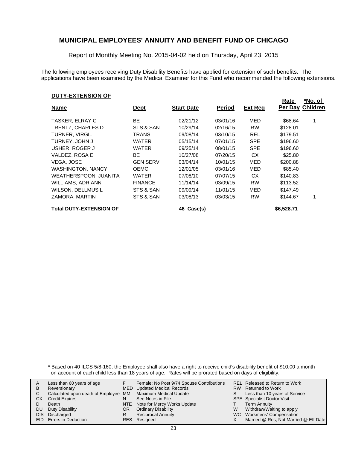Report of Monthly Meeting No. 2015-04-02 held on Thursday, April 23, 2015

The following employees receiving Duty Disability Benefits have applied for extension of such benefits. The applications have been examined by the Medical Examiner for this Fund who recommended the following extensions.

#### **DUTY-EXTENSION OF**

| - - - - - - - - - - - - - - - - |                 |                   |               |                | <b>Rate</b> | *No. of                 |
|---------------------------------|-----------------|-------------------|---------------|----------------|-------------|-------------------------|
| <u>Name</u>                     | <u>Dept</u>     | <b>Start Date</b> | <b>Period</b> | <b>Ext Req</b> |             | <b>Per Day Children</b> |
| TASKER, ELRAY C                 | <b>BE</b>       | 02/21/12          | 03/01/16      | MED            | \$68.64     |                         |
| TRENTZ. CHARLES D               | STS & SAN       | 10/29/14          | 02/16/15      | <b>RW</b>      | \$128.01    |                         |
| <b>TURNER, VIRGIL</b>           | TRANS           | 09/08/14          | 03/10/15      | <b>REL</b>     | \$179.51    |                         |
| TURNEY, JOHN J                  | <b>WATER</b>    | 05/15/14          | 07/01/15      | <b>SPE</b>     | \$196.60    |                         |
| USHER, ROGER J                  | WATER           | 09/25/14          | 08/01/15      | <b>SPE</b>     | \$196.60    |                         |
| VALDEZ, ROSA E                  | <b>BE</b>       | 10/27/08          | 07/20/15      | CX.            | \$25.80     |                         |
| VEGA. JOSE                      | <b>GEN SERV</b> | 03/04/14          | 10/01/15      | MED            | \$200.88    |                         |
| <b>WASHINGTON, NANCY</b>        | <b>OEMC</b>     | 12/01/05          | 03/01/16      | MED            | \$85.40     |                         |
| WEATHERSPOON, JUANITA           | WATER           | 07/08/10          | 07/07/15      | СX             | \$140.83    |                         |
| WILLIAMS, ADRIANN               | <b>FINANCE</b>  | 11/14/14          | 03/09/15      | <b>RW</b>      | \$113.52    |                         |
| WILSON, DELLMUS L               | STS & SAN       | 09/09/14          | 11/01/15      | MED            | \$147.49    |                         |
| ZAMORA, MARTIN                  | STS & SAN       | 03/08/13          | 03/03/15      | <b>RW</b>      | \$144.67    |                         |
| <b>Total DUTY-EXTENSION OF</b>  |                 | 46 Case(s)        |               |                | \$6,528.71  |                         |

\* Based on 40 ILCS 5/8-160, the Employee shall also have a right to receive child's disability benefit of \$10.00 a month on account of each child less than 18 years of age. Rates will be prorated based on days of eligibility.

|      | Less than 60 years of age                                    |     | Female: No Post 9/74 Spouse Contributions |    | REL Released to Return to Work        |
|------|--------------------------------------------------------------|-----|-------------------------------------------|----|---------------------------------------|
| В    | Reversionary                                                 |     | MED Updated Medical Records               |    | RW Returned to Work                   |
|      |                                                              |     |                                           |    |                                       |
|      | Calculated upon death of Employee MMI Maximum Medical Update |     |                                           | S. | Less than 10 years of Service         |
| СX   | <b>Credit Expires</b>                                        | N   | See Notes in File                         |    | <b>SPE</b> Specialist Doctor Visit    |
|      | Death                                                        |     | NTE Note for Mercy Works Update           |    | <b>Term Annuity</b>                   |
| DU   | Duty Disability                                              | OR. | <b>Ordinary Disability</b>                | W  | Withdraw/Waiting to apply             |
| DIS. | Discharged                                                   |     | <b>Reciprocal Annuity</b>                 |    | WC Workmens' Compensation             |
|      | <b>EID</b> Errors in Deduction                               |     | RES Resigned                              |    | Married @ Res, Not Married @ Eff Date |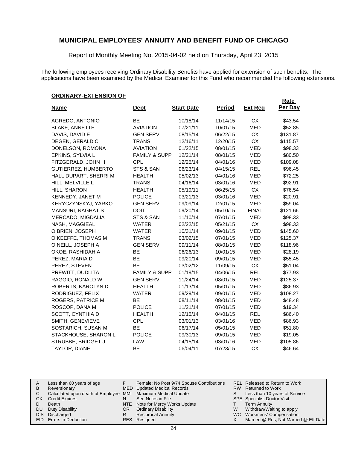Report of Monthly Meeting No. 2015-04-02 held on Thursday, April 23, 2015

The following employees receiving Ordinary Disability Benefits have applied for extension of such benefits. The applications have been examined by the Medical Examiner for this Fund who recommended the following extensions.

#### **ORDINARY-EXTENSION OF**

|                            |                          |                   |               |                | Rate     |
|----------------------------|--------------------------|-------------------|---------------|----------------|----------|
| <u>Name</u>                | <u>Dept</u>              | <b>Start Date</b> | <b>Period</b> | <b>Ext Req</b> | Per Day  |
| AGREDO, ANTONIO            | BE                       | 10/18/14          | 11/14/15      | <b>CX</b>      | \$43.54  |
| <b>BLAKE, ANNETTE</b>      | <b>AVIATION</b>          | 07/21/11          | 10/01/15      | <b>MED</b>     | \$52.85  |
| DAVIS, DAVID E             | <b>GEN SERV</b>          | 08/15/14          | 06/22/15      | СX             | \$131.87 |
| DEGEN, GERALD C            | <b>TRANS</b>             | 12/16/11          | 12/20/15      | CX             | \$115.57 |
| DONELSON, ROMONA           | <b>AVIATION</b>          | 01/22/15          | 08/01/15      | <b>MED</b>     | \$98.33  |
| EPKINS, SYLVIA L           | <b>FAMILY &amp; SUPP</b> | 12/21/14          | 08/01/15      | <b>MED</b>     | \$80.50  |
| FITZGERALD, JOHN H         | <b>CPL</b>               | 12/25/14          | 04/01/16      | <b>MED</b>     | \$109.08 |
| GUTIERREZ, HUMBERTO        | STS & SAN                | 06/23/14          | 04/15/15      | <b>REL</b>     | \$96.45  |
| HALL DUPART, SHERRI M      | <b>HEALTH</b>            | 05/02/13          | 04/01/16      | <b>MED</b>     | \$72.25  |
| HILL, MELVILLE L           | <b>TRANS</b>             | 04/16/14          | 03/01/16      | <b>MED</b>     | \$92.91  |
| HILL, SHARON               | <b>HEALTH</b>            | 05/19/11          | 06/25/15      | CX             | \$76.54  |
| KENNEDY, JANET M           | <b>POLICE</b>            | 03/21/13          | 03/01/16      | <b>MED</b>     | \$20.91  |
| <b>KERYCZYNSKYJ, YARKO</b> | <b>GEN SERV</b>          | 09/09/14          | 12/01/15      | <b>MED</b>     | \$59.04  |
| <b>MANSURI, NAGHAT S</b>   | <b>DOIT</b>              | 09/20/14          | 05/10/15      | <b>FINAL</b>   | \$121.66 |
| MERCADO, MIGDALIA          | STS & SAN                | 11/10/14          | 07/01/15      | <b>MED</b>     | \$98.33  |
| NASH, MAGGIEAL             | <b>WATER</b>             | 02/22/15          | 05/21/15      | <b>CX</b>      | \$98.33  |
| O BRIEN, JOSEPH            | <b>WATER</b>             | 10/31/14          | 09/01/15      | <b>MED</b>     | \$145.60 |
| O KEEFFE, THOMAS M         | <b>TRANS</b>             | 03/02/15          | 07/01/15      | <b>MED</b>     | \$125.37 |
| O NEILL, JOSEPH A          | <b>GEN SERV</b>          | 09/11/14          | 08/01/15      | <b>MED</b>     | \$118.96 |
| OKOE, RASHIDAH A           | <b>BE</b>                | 06/26/13          | 10/01/15      | <b>MED</b>     | \$28.19  |
| PEREZ, MARIA D             | <b>BE</b>                | 09/20/14          | 09/01/15      | <b>MED</b>     | \$55.45  |
| PEREZ, STEVEN              | <b>BE</b>                | 03/02/12          | 11/09/15      | CX             | \$51.04  |
| PREWITT, DUDLITA           | <b>FAMILY &amp; SUPP</b> | 01/19/15          | 04/06/15      | <b>REL</b>     | \$77.93  |
| RAGGIO, RONALD W           | <b>GEN SERV</b>          | 11/24/14          | 08/01/15      | MED            | \$125.37 |
| ROBERTS, KAROLYN D         | <b>HEALTH</b>            | 01/13/14          | 05/01/15      | <b>MED</b>     | \$86.93  |
| RODRIGUEZ, FELIX           | <b>WATER</b>             | 09/29/14          | 09/01/15      | <b>MED</b>     | \$108.27 |
| ROGERS, PATRICE M          | BE                       | 08/11/14          | 08/01/15      | <b>MED</b>     | \$48.48  |
| ROSCOP, DANA M             | <b>POLICE</b>            | 11/21/14          | 07/01/15      | <b>MED</b>     | \$19.34  |
| SCOTT, CYNTHIA D           | <b>HEALTH</b>            | 12/15/14          | 04/01/15      | <b>REL</b>     | \$86.40  |
| SMITH, GENEVIEVE           | <b>CPL</b>               | 03/01/13          | 03/01/16      | MED            | \$86.93  |
| SOSTARICH, SUSAN M         | <b>BE</b>                | 06/17/14          | 05/01/15      | MED            | \$51.80  |
| STACKHOUSE, SHARON L       | <b>POLICE</b>            | 09/30/13          | 09/01/15      | MED            | \$19.05  |
| STRUBBE, BRIDGET J         | LAW                      | 04/15/14          | 03/01/16      | MED            | \$105.86 |
| TAYLOR, DIANE              | <b>BE</b>                | 06/04/11          | 07/23/15      | <b>CX</b>      | \$46.64  |

| A    | Less than 60 years of age                                    |    | Female: No Post 9/74 Spouse Contributions |    | REL Released to Return to Work        |
|------|--------------------------------------------------------------|----|-------------------------------------------|----|---------------------------------------|
| В    | Reversionary                                                 |    | MED Updated Medical Records               |    | RW Returned to Work                   |
|      | Calculated upon death of Employee MMI Maximum Medical Update |    |                                           | S. | Less than 10 years of Service         |
| CХ   | <b>Credit Expires</b>                                        | N  | See Notes in File                         |    | <b>SPE</b> Specialist Doctor Visit    |
|      | Death                                                        |    | NTE Note for Mercy Works Update           |    | <b>Term Annuity</b>                   |
| DU   | Duty Disability                                              | OR | <b>Ordinary Disability</b>                | W  | Withdraw/Waiting to apply             |
| DIS. | Discharged                                                   | R  | <b>Reciprocal Annuity</b>                 |    | WC Workmens' Compensation             |
|      | EID Errors in Deduction                                      |    | RES Resigned                              |    | Married @ Res, Not Married @ Eff Date |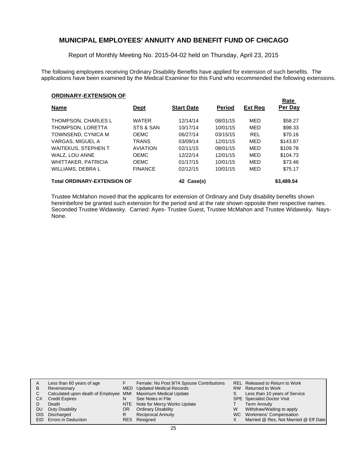Report of Monthly Meeting No. 2015-04-02 held on Thursday, April 23, 2015

The following employees receiving Ordinary Disability Benefits have applied for extension of such benefits. The applications have been examined by the Medical Examiner for this Fund who recommended the following extensions.

**Rate** 

#### **ORDINARY-EXTENSION OF**

| <b>Name</b>                        | <b>Dept</b>     | <b>Start Date</b> | <b>Period</b> | <b>Ext Reg</b> | <b>Rate</b><br>Per Day |
|------------------------------------|-----------------|-------------------|---------------|----------------|------------------------|
| THOMPSON, CHARLES L                | <b>WATER</b>    | 12/14/14          | 08/01/15      | MED            | \$58.27                |
| THOMPSON, LORETTA                  | STS & SAN       | 10/17/14          | 10/01/15      | MED            | \$98.33                |
| TOWNSEND, CYNICA M                 | <b>OEMC</b>     | 06/27/14          | 03/15/15      | <b>REL</b>     | \$70.16                |
| VARGAS, MIGUEL A                   | <b>TRANS</b>    | 03/09/14          | 12/01/15      | MED            | \$143.87               |
| <b>WAITEKUS, STEPHEN T</b>         | <b>AVIATION</b> | 02/11/15          | 08/01/15      | MED            | \$109.78               |
| WALZ, LOU ANNE                     | <b>OEMC</b>     | 12/22/14          | 12/01/15      | MED            | \$104.73               |
| <b>WHITTAKER, PATRICIA</b>         | <b>OEMC</b>     | 01/17/15          | 10/01/15      | MED            | \$73.46                |
| WILLIAMS, DEBRA L                  | <b>FINANCE</b>  | 02/12/15          | 10/01/15      | MED            | \$75.17                |
| <b>Total ORDINARY-EXTENSION OF</b> |                 | Case(s)<br>42     |               |                | \$3,489.54             |

Trustee McMahon moved that the applicants for extension of Ordinary and Duty disability benefits shown hereinbefore be granted such extension for the period and at the rate shown opposite their respective names. Seconded Trustee Widawsky. Carried: Ayes- Trustee Guest, Trustee McMahon and Trustee Widawsky. Nays-None.

| А  | Less than 60 years of age                                    |     | Female: No Post 9/74 Spouse Contributions |   | REL Released to Return to Work        |
|----|--------------------------------------------------------------|-----|-------------------------------------------|---|---------------------------------------|
| В  | Reversionary                                                 |     | MED Updated Medical Records               |   | RW Returned to Work                   |
|    | Calculated upon death of Employee MMI Maximum Medical Update |     |                                           | S | Less than 10 years of Service         |
| CХ | <b>Credit Expires</b>                                        | N   | See Notes in File                         |   | <b>SPE</b> Specialist Doctor Visit    |
|    | Death                                                        |     | NTE Note for Mercy Works Update           |   | <b>Term Annuity</b>                   |
| DU | Duty Disability                                              | OR. | <b>Ordinary Disability</b>                | W | Withdraw/Waiting to apply             |
|    | DIS Discharged                                               |     | <b>Reciprocal Annuity</b>                 |   | WC Workmens' Compensation             |
|    | <b>EID</b> Errors in Deduction                               |     | RES Resigned                              |   | Married @ Res, Not Married @ Eff Date |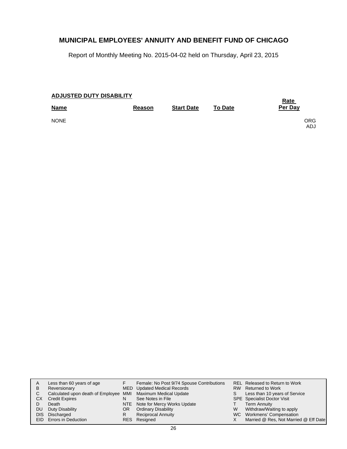Report of Monthly Meeting No. 2015-04-02 held on Thursday, April 23, 2015

| <b>ADJUSTED DUTY DISABILITY</b> | <b>Rate</b> |                   |                |                   |
|---------------------------------|-------------|-------------------|----------------|-------------------|
| <b>Name</b>                     | Reason      | <b>Start Date</b> | <b>To Date</b> | Per Day           |
| <b>NONE</b>                     |             |                   |                | <b>ORG</b><br>ADJ |

|     | Less than 60 years of age                                    |     | Female: No Post 9/74 Spouse Contributions |   | REL Released to Return to Work        |
|-----|--------------------------------------------------------------|-----|-------------------------------------------|---|---------------------------------------|
| B   | Reversionary                                                 |     | MED Updated Medical Records               |   | RW Returned to Work                   |
|     | Calculated upon death of Employee MMI Maximum Medical Update |     |                                           | S | Less than 10 years of Service         |
| СX  | <b>Credit Expires</b>                                        | N   | See Notes in File                         |   | SPE Specialist Doctor Visit           |
|     | Death                                                        |     | NTE Note for Mercy Works Update           |   | <b>Term Annuity</b>                   |
| DU. | Duty Disability                                              | OR. | <b>Ordinary Disability</b>                | W | Withdraw/Waiting to apply             |
|     | DIS Discharged                                               | R   | <b>Reciprocal Annuity</b>                 |   | WC Workmens' Compensation             |
|     | EID Errors in Deduction                                      |     | RES Resigned                              |   | Married @ Res, Not Married @ Eff Date |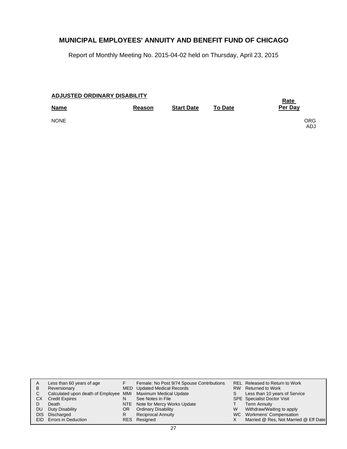Report of Monthly Meeting No. 2015-04-02 held on Thursday, April 23, 2015

| <b>ADJUSTED ORDINARY DISABILITY</b> | <u>Rate</u> |                   |                |                   |
|-------------------------------------|-------------|-------------------|----------------|-------------------|
| <b>Name</b>                         | Reason      | <b>Start Date</b> | <b>To Date</b> | Per Day           |
| <b>NONE</b>                         |             |                   |                | <b>ORG</b><br>ADJ |

| A<br>B<br>C.<br>СX<br>DU. | Less than 60 years of age<br>Reversionary<br>Calculated upon death of Employee MMI Maximum Medical Update<br><b>Credit Expires</b><br>Death<br>Duty Disability<br>DIS Discharged<br>EID Errors in Deduction | N<br>OR<br>R | Female: No Post 9/74 Spouse Contributions<br>MED Updated Medical Records<br>See Notes in File<br>NTE Note for Mercy Works Update<br><b>Ordinary Disability</b><br><b>Reciprocal Annuity</b><br>RES Resigned | W | REL Released to Return to Work<br>RW Returned to Work<br>Less than 10 years of Service<br><b>SPE</b> Specialist Doctor Visit<br><b>Term Annuity</b><br>Withdraw/Waiting to apply<br>WC Workmens' Compensation<br>Married @ Res, Not Married @ Eff Date |
|---------------------------|-------------------------------------------------------------------------------------------------------------------------------------------------------------------------------------------------------------|--------------|-------------------------------------------------------------------------------------------------------------------------------------------------------------------------------------------------------------|---|--------------------------------------------------------------------------------------------------------------------------------------------------------------------------------------------------------------------------------------------------------|
|---------------------------|-------------------------------------------------------------------------------------------------------------------------------------------------------------------------------------------------------------|--------------|-------------------------------------------------------------------------------------------------------------------------------------------------------------------------------------------------------------|---|--------------------------------------------------------------------------------------------------------------------------------------------------------------------------------------------------------------------------------------------------------|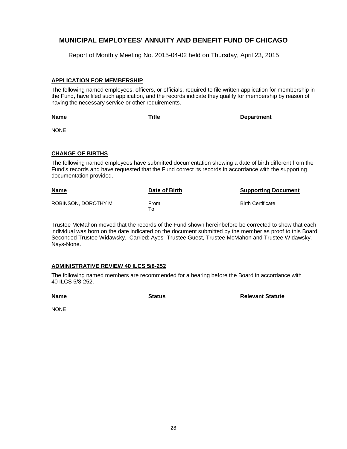Report of Monthly Meeting No. 2015-04-02 held on Thursday, April 23, 2015

#### **APPLICATION FOR MEMBERSHIP**

The following named employees, officers, or officials, required to file written application for membership in the Fund, have filed such application, and the records indicate they qualify for membership by reason of having the necessary service or other requirements.

**Title Department**

NONE

**Name**

#### **CHANGE OF BIRTHS**

The following named employees have submitted documentation showing a date of birth different from the Fund's records and have requested that the Fund correct its records in accordance with the supporting documentation provided.

| <u>Name</u>         | Date of Birth | <b>Supporting Document</b> |
|---------------------|---------------|----------------------------|
| ROBINSON, DOROTHY M | From<br>To To | <b>Birth Certificate</b>   |

Trustee McMahon moved that the records of the Fund shown hereinbefore be corrected to show that each individual was born on the date indicated on the document submitted by the member as proof to this Board. Seconded Trustee Widawsky. Carried: Ayes- Trustee Guest, Trustee McMahon and Trustee Widawsky. Nays-None.

#### **ADMINISTRATIVE REVIEW 40 ILCS 5/8-252**

The following named members are recommended for a hearing before the Board in accordance with 40 ILCS 5/8-252.

**Name**

**Status Relevant Statute**

NONE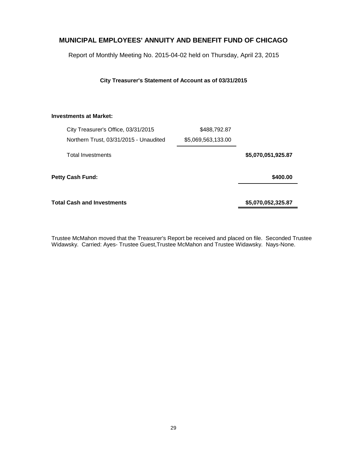Report of Monthly Meeting No. 2015-04-02 held on Thursday, April 23, 2015

**City Treasurer's Statement of Account as of 03/31/2015**

#### **Investments at Market:**

| City Treasurer's Office, 03/31/2015    | \$488,792.87       |                    |
|----------------------------------------|--------------------|--------------------|
| Northern Trust, 03/31/2015 - Unaudited | \$5,069,563,133.00 |                    |
| <b>Total Investments</b>               |                    | \$5,070,051,925.87 |
| <b>Petty Cash Fund:</b>                |                    | \$400.00           |
| <b>Total Cash and Investments</b>      |                    | \$5,070,052,325.87 |

Trustee McMahon moved that the Treasurer's Report be received and placed on file. Seconded Trustee Widawsky. Carried: Ayes- Trustee Guest,Trustee McMahon and Trustee Widawsky. Nays-None.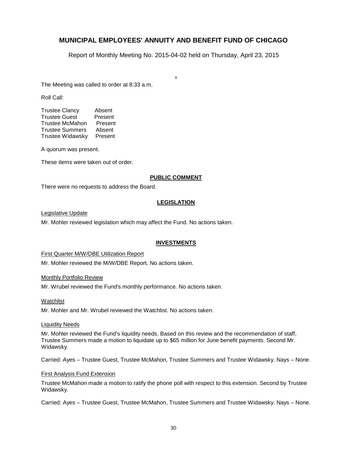Report of Monthly Meeting No. 2015-04-02 held on Thursday, April 23, 2015

**.**

The Meeting was called to order at 8:33 a.m.

Roll Call:

| <b>Trustee Clancy</b>   | Absent  |
|-------------------------|---------|
| <b>Trustee Guest</b>    | Present |
| <b>Trustee McMahon</b>  | Present |
| <b>Trustee Summers</b>  | Absent  |
| <b>Trustee Widawsky</b> | Present |

A quorum was present.

These items were taken out of order.

#### **PUBLIC COMMENT**

There were no requests to address the Board.

#### **LEGISLATION**

Legislative Update

Mr. Mohler reviewed legislation which may affect the Fund. No actions taken.

#### **INVESTMENTS**

First Quarter M/W/DBE Utilization Report

Mr. Mohler reviewed the M/W/DBE Report. No actions taken.

#### Monthly Portfolio Review

Mr. Wrubel reviewed the Fund's monthly performance. No actions taken.

#### Watchlist

Mr. Mohler and Mr. Wrubel reviewed the Watchlist. No actions taken.

#### Liquidity Needs

Mr. Mohler reviewed the Fund's liquidity needs. Based on this review and the recommendation of staff, Trustee Summers made a motion to liquidate up to \$65 million for June benefit payments. Second Mr. Widawsky.

Carried: Ayes – Trustee Guest, Trustee McMahon, Trustee Summers and Trustee Widawsky. Nays – None.

#### First Analysis Fund Extension

Trustee McMahon made a motion to ratify the phone poll with respect to this extension. Second by Trustee Widawsky.

Carried: Ayes – Trustee Guest, Trustee McMahon, Trustee Summers and Trustee Widawsky. Nays – None.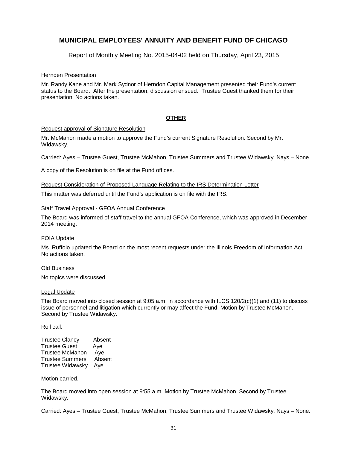Report of Monthly Meeting No. 2015-04-02 held on Thursday, April 23, 2015

#### Hernden Presentation

Mr. Randy Kane and Mr. Mark Sydnor of Herndon Capital Management presented their Fund's current status to the Board. After the presentation, discussion ensued. Trustee Guest thanked them for their presentation. No actions taken.

#### **OTHER**

#### Request approval of Signature Resolution

Mr. McMahon made a motion to approve the Fund's current Signature Resolution. Second by Mr. Widawsky.

Carried: Ayes – Trustee Guest, Trustee McMahon, Trustee Summers and Trustee Widawsky. Nays – None.

A copy of the Resolution is on file at the Fund offices.

Request Consideration of Proposed Language Relating to the IRS Determination Letter

This matter was deferred until the Fund's application is on file with the IRS.

#### Staff Travel Approval - GFOA Annual Conference

The Board was informed of staff travel to the annual GFOA Conference, which was approved in December 2014 meeting.

#### FOIA Update

Ms. Ruffolo updated the Board on the most recent requests under the Illinois Freedom of Information Act. No actions taken.

#### Old Business

No topics were discussed.

#### Legal Update

The Board moved into closed session at 9:05 a.m. in accordance with ILCS 120/2(c)(1) and (11) to discuss issue of personnel and litigation which currently or may affect the Fund. Motion by Trustee McMahon. Second by Trustee Widawsky.

Roll call:

| <b>Trustee Clancy</b>  | Absent |
|------------------------|--------|
| <b>Trustee Guest</b>   | Aye    |
| <b>Trustee McMahon</b> | Aye    |
| <b>Trustee Summers</b> | Absent |
| Trustee Widawsky       | Aye    |

#### Motion carried.

The Board moved into open session at 9:55 a.m. Motion by Trustee McMahon. Second by Trustee Widawsky.

Carried: Ayes – Trustee Guest, Trustee McMahon, Trustee Summers and Trustee Widawsky. Nays – None.